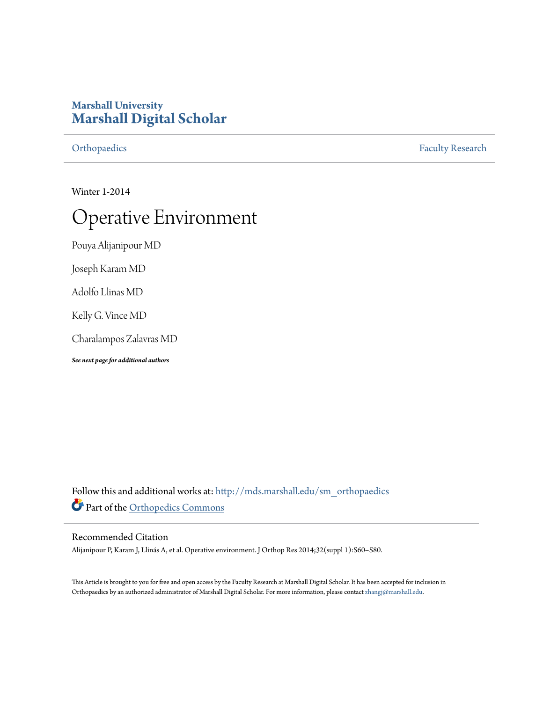## **Marshall University [Marshall Digital Scholar](http://mds.marshall.edu?utm_source=mds.marshall.edu%2Fsm_orthopaedics%2F13&utm_medium=PDF&utm_campaign=PDFCoverPages)**

[Orthopaedics](http://mds.marshall.edu/sm_orthopaedics?utm_source=mds.marshall.edu%2Fsm_orthopaedics%2F13&utm_medium=PDF&utm_campaign=PDFCoverPages) [Faculty Research](http://mds.marshall.edu/sm_faculty?utm_source=mds.marshall.edu%2Fsm_orthopaedics%2F13&utm_medium=PDF&utm_campaign=PDFCoverPages)

Winter 1-2014

# Operative Environment

Pouya Alijanipour MD

Joseph Karam MD

Adolfo Llinas MD

Kelly G. Vince MD

Charalampos Zalavras MD

*See next page for additional authors*

Follow this and additional works at: [http://mds.marshall.edu/sm\\_orthopaedics](http://mds.marshall.edu/sm_orthopaedics?utm_source=mds.marshall.edu%2Fsm_orthopaedics%2F13&utm_medium=PDF&utm_campaign=PDFCoverPages) Part of the [Orthopedics Commons](http://network.bepress.com/hgg/discipline/696?utm_source=mds.marshall.edu%2Fsm_orthopaedics%2F13&utm_medium=PDF&utm_campaign=PDFCoverPages)

#### Recommended Citation

Alijanipour P, Karam J, Llinás A, et al. Operative environment. J Orthop Res 2014;32(suppl 1):S60–S80.

This Article is brought to you for free and open access by the Faculty Research at Marshall Digital Scholar. It has been accepted for inclusion in Orthopaedics by an authorized administrator of Marshall Digital Scholar. For more information, please contact [zhangj@marshall.edu.](mailto:zhangj@marshall.edu)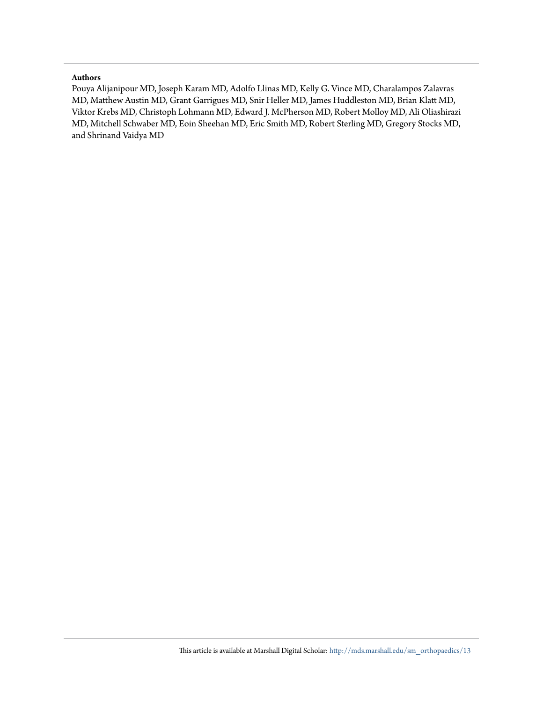#### **Authors**

Pouya Alijanipour MD, Joseph Karam MD, Adolfo Llinas MD, Kelly G. Vince MD, Charalampos Zalavras MD, Matthew Austin MD, Grant Garrigues MD, Snir Heller MD, James Huddleston MD, Brian Klatt MD, Viktor Krebs MD, Christoph Lohmann MD, Edward J. McPherson MD, Robert Molloy MD, Ali Oliashirazi MD, Mitchell Schwaber MD, Eoin Sheehan MD, Eric Smith MD, Robert Sterling MD, Gregory Stocks MD, and Shrinand Vaidya MD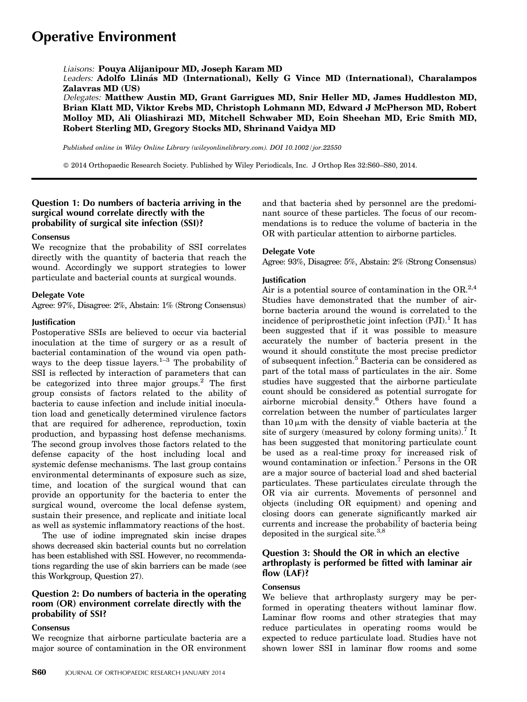# Operative Environment

Liaisons: Pouya Alijanipour MD, Joseph Karam MD

Leaders: Adolfo Llinás MD (International), Kelly G Vince MD (International), Charalampos Zalavras MD (US)

Delegates: Matthew Austin MD, Grant Garrigues MD, Snir Heller MD, James Huddleston MD, Brian Klatt MD, Viktor Krebs MD, Christoph Lohmann MD, Edward J McPherson MD, Robert Molloy MD, Ali Oliashirazi MD, Mitchell Schwaber MD, Eoin Sheehan MD, Eric Smith MD, Robert Sterling MD, Gregory Stocks MD, Shrinand Vaidya MD

Published online in Wiley Online Library (wileyonlinelibrary.com). DOI 10.1002/jor.22550

2014 Orthopaedic Research Society. Published by Wiley Periodicals, Inc. J Orthop Res 32:S60–S80, 2014.

#### Question 1: Do numbers of bacteria arriving in the surgical wound correlate directly with the probability of surgical site infection (SSI)?

#### **Consensus**

We recognize that the probability of SSI correlates directly with the quantity of bacteria that reach the wound. Accordingly we support strategies to lower particulate and bacterial counts at surgical wounds.

#### Delegate Vote

Agree: 97%, Disagree: 2%, Abstain: 1% (Strong Consensus)

#### Justification

Postoperative SSIs are believed to occur via bacterial inoculation at the time of surgery or as a result of bacterial contamination of the wound via open pathways to the deep tissue layers.<sup>1–3</sup> The probability of SSI is reflected by interaction of parameters that can be categorized into three major groups. $^{2}$  The first group consists of factors related to the ability of bacteria to cause infection and include initial inoculation load and genetically determined virulence factors that are required for adherence, reproduction, toxin production, and bypassing host defense mechanisms. The second group involves those factors related to the defense capacity of the host including local and systemic defense mechanisms. The last group contains environmental determinants of exposure such as size, time, and location of the surgical wound that can provide an opportunity for the bacteria to enter the surgical wound, overcome the local defense system, sustain their presence, and replicate and initiate local as well as systemic inflammatory reactions of the host.

The use of iodine impregnated skin incise drapes shows decreased skin bacterial counts but no correlation has been established with SSI. However, no recommendations regarding the use of skin barriers can be made (see this Workgroup, Question 27).

#### Question 2: Do numbers of bacteria in the operating room (OR) environment correlate directly with the probability of SSI?

#### **Consensus**

We recognize that airborne particulate bacteria are a major source of contamination in the OR environment

and that bacteria shed by personnel are the predominant source of these particles. The focus of our recommendations is to reduce the volume of bacteria in the OR with particular attention to airborne particles.

#### Delegate Vote

Agree: 93%, Disagree: 5%, Abstain: 2% (Strong Consensus)

#### Justification

Air is a potential source of contamination in the  $OR<sup>2,4</sup>$ Studies have demonstrated that the number of airborne bacteria around the wound is correlated to the incidence of periprosthetic joint infection  $(PII)^1$ . It has been suggested that if it was possible to measure accurately the number of bacteria present in the wound it should constitute the most precise predictor of subsequent infection.<sup>5</sup> Bacteria can be considered as part of the total mass of particulates in the air. Some studies have suggested that the airborne particulate count should be considered as potential surrogate for airborne microbial density.<sup>6</sup> Others have found a correlation between the number of particulates larger than  $10 \mu m$  with the density of viable bacteria at the site of surgery (measured by colony forming units).<sup>7</sup> It has been suggested that monitoring particulate count be used as a real-time proxy for increased risk of wound contamination or infection.<sup>7</sup> Persons in the OR are a major source of bacterial load and shed bacterial particulates. These particulates circulate through the OR via air currents. Movements of personnel and objects (including OR equipment) and opening and closing doors can generate significantly marked air currents and increase the probability of bacteria being deposited in the surgical site. $3,8$ 

#### Question 3: Should the OR in which an elective arthroplasty is performed be fitted with laminar air flow (LAF)?

#### **Consensus**

We believe that arthroplasty surgery may be performed in operating theaters without laminar flow. Laminar flow rooms and other strategies that may reduce particulates in operating rooms would be expected to reduce particulate load. Studies have not shown lower SSI in laminar flow rooms and some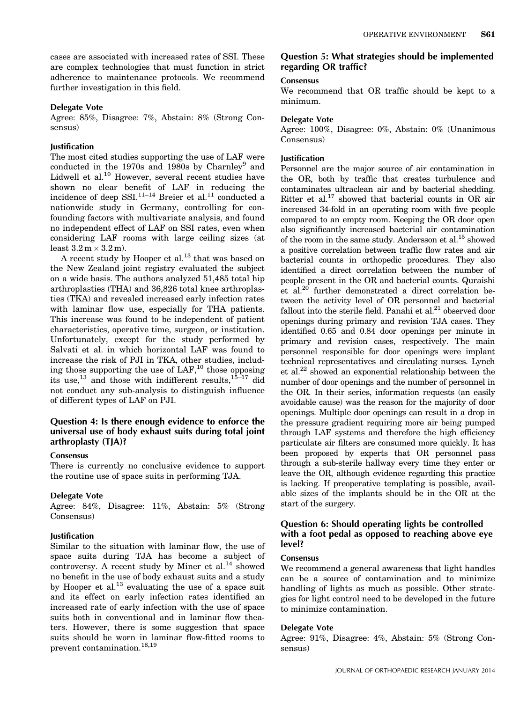cases are associated with increased rates of SSI. These are complex technologies that must function in strict adherence to maintenance protocols. We recommend further investigation in this field.

#### Delegate Vote

Agree: 85%, Disagree: 7%, Abstain: 8% (Strong Consensus)

#### Justification

The most cited studies supporting the use of LAF were conducted in the  $1970s$  and  $1980s$  by Charnley<sup>9</sup> and Lidwell et al.<sup>10</sup> However, several recent studies have shown no clear benefit of LAF in reducing the incidence of deep SSI.<sup>11-14</sup> Breier et al.<sup>11</sup> conducted a nationwide study in Germany, controlling for confounding factors with multivariate analysis, and found no independent effect of LAF on SSI rates, even when considering LAF rooms with large ceiling sizes (at least  $3.2 \text{ m} \times 3.2 \text{ m}$ ).

A recent study by Hooper et al.<sup>13</sup> that was based on the New Zealand joint registry evaluated the subject on a wide basis. The authors analyzed 51,485 total hip arthroplasties (THA) and 36,826 total knee arthroplasties (TKA) and revealed increased early infection rates with laminar flow use, especially for THA patients. This increase was found to be independent of patient characteristics, operative time, surgeon, or institution. Unfortunately, except for the study performed by Salvati et al. in which horizontal LAF was found to increase the risk of PJI in TKA, other studies, including those supporting the use of  $LAF$ ,<sup>10</sup> those opposing its use,<sup>13</sup> and those with indifferent results, $15-17$  did not conduct any sub-analysis to distinguish influence of different types of LAF on PJI.

#### Question 4: Is there enough evidence to enforce the universal use of body exhaust suits during total joint arthroplasty (TJA)?

#### **Consensus**

There is currently no conclusive evidence to support the routine use of space suits in performing TJA.

#### Delegate Vote

Agree: 84%, Disagree: 11%, Abstain: 5% (Strong Consensus)

#### Justification

Similar to the situation with laminar flow, the use of space suits during TJA has become a subject of controversy. A recent study by Miner et al. $^{14}$  showed no benefit in the use of body exhaust suits and a study by Hooper et al.<sup>13</sup> evaluating the use of a space suit and its effect on early infection rates identified an increased rate of early infection with the use of space suits both in conventional and in laminar flow theaters. However, there is some suggestion that space suits should be worn in laminar flow-fitted rooms to prevent contamination.18,19

#### Question 5: What strategies should be implemented regarding OR traffic?

#### **Consensus**

We recommend that OR traffic should be kept to a minimum.

#### Delegate Vote

Agree: 100%, Disagree: 0%, Abstain: 0% (Unanimous Consensus)

#### **Justification**

Personnel are the major source of air contamination in the OR, both by traffic that creates turbulence and contaminates ultraclean air and by bacterial shedding. Ritter et al.<sup>17</sup> showed that bacterial counts in OR air increased 34-fold in an operating room with five people compared to an empty room. Keeping the OR door open also significantly increased bacterial air contamination of the room in the same study. Andersson et al.<sup>15</sup> showed a positive correlation between traffic flow rates and air bacterial counts in orthopedic procedures. They also identified a direct correlation between the number of people present in the OR and bacterial counts. Quraishi et al.<sup>20</sup> further demonstrated a direct correlation between the activity level of OR personnel and bacterial fallout into the sterile field. Panahi et al. $^{21}$  observed door openings during primary and revision TJA cases. They identified 0.65 and 0.84 door openings per minute in primary and revision cases, respectively. The main personnel responsible for door openings were implant technical representatives and circulating nurses. Lynch et al.<sup>22</sup> showed an exponential relationship between the number of door openings and the number of personnel in the OR. In their series, information requests (an easily avoidable cause) was the reason for the majority of door openings. Multiple door openings can result in a drop in the pressure gradient requiring more air being pumped through LAF systems and therefore the high efficiency particulate air filters are consumed more quickly. It has been proposed by experts that OR personnel pass through a sub-sterile hallway every time they enter or leave the OR, although evidence regarding this practice is lacking. If preoperative templating is possible, available sizes of the implants should be in the OR at the start of the surgery.

#### Question 6: Should operating lights be controlled with a foot pedal as opposed to reaching above eye level?

#### **Consensus**

We recommend a general awareness that light handles can be a source of contamination and to minimize handling of lights as much as possible. Other strategies for light control need to be developed in the future to minimize contamination.

#### Delegate Vote

Agree: 91%, Disagree: 4%, Abstain: 5% (Strong Consensus)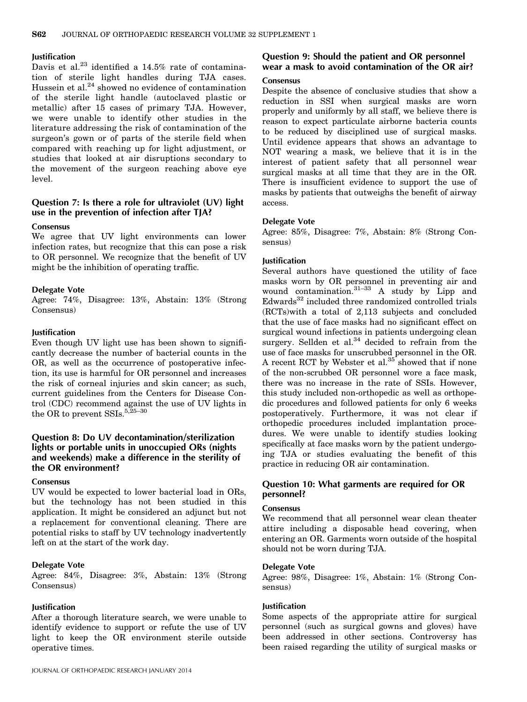#### **Iustification**

Davis et al.<sup>23</sup> identified a 14.5% rate of contamination of sterile light handles during TJA cases. Hussein et al.<sup>24</sup> showed no evidence of contamination of the sterile light handle (autoclaved plastic or metallic) after 15 cases of primary TJA. However, we were unable to identify other studies in the literature addressing the risk of contamination of the surgeon's gown or of parts of the sterile field when compared with reaching up for light adjustment, or studies that looked at air disruptions secondary to the movement of the surgeon reaching above eye level.

#### Question 7: Is there a role for ultraviolet (UV) light use in the prevention of infection after TJA?

#### **Consensus**

We agree that UV light environments can lower infection rates, but recognize that this can pose a risk to OR personnel. We recognize that the benefit of UV might be the inhibition of operating traffic.

#### Delegate Vote

Agree: 74%, Disagree: 13%, Abstain: 13% (Strong Consensus)

#### Justification

Even though UV light use has been shown to significantly decrease the number of bacterial counts in the OR, as well as the occurrence of postoperative infection, its use is harmful for OR personnel and increases the risk of corneal injuries and skin cancer; as such, current guidelines from the Centers for Disease Control (CDC) recommend against the use of UV lights in the OR to prevent  $SSIs.<sup>5,25-30</sup>$ 

#### Question 8: Do UV decontamination/sterilization lights or portable units in unoccupied ORs (nights and weekends) make a difference in the sterility of the OR environment?

#### **Consensus**

UV would be expected to lower bacterial load in ORs, but the technology has not been studied in this application. It might be considered an adjunct but not a replacement for conventional cleaning. There are potential risks to staff by UV technology inadvertently left on at the start of the work day.

#### Delegate Vote

Agree: 84%, Disagree: 3%, Abstain: 13% (Strong Consensus)

#### Justification

After a thorough literature search, we were unable to identify evidence to support or refute the use of UV light to keep the OR environment sterile outside operative times.

#### Question 9: Should the patient and OR personnel wear a mask to avoid contamination of the OR air?

#### **Consensus**

Despite the absence of conclusive studies that show a reduction in SSI when surgical masks are worn properly and uniformly by all staff, we believe there is reason to expect particulate airborne bacteria counts to be reduced by disciplined use of surgical masks. Until evidence appears that shows an advantage to NOT wearing a mask, we believe that it is in the interest of patient safety that all personnel wear surgical masks at all time that they are in the OR. There is insufficient evidence to support the use of masks by patients that outweighs the benefit of airway access.

#### Delegate Vote

Agree: 85%, Disagree: 7%, Abstain: 8% (Strong Consensus)

#### Justification

Several authors have questioned the utility of face masks worn by OR personnel in preventing air and wound contamination.31–33 A study by Lipp and  $Edwards<sup>32</sup>$  included three randomized controlled trials (RCTs)with a total of 2,113 subjects and concluded that the use of face masks had no significant effect on surgical wound infections in patients undergoing clean surgery. Sellden et al.<sup>34</sup> decided to refrain from the use of face masks for unscrubbed personnel in the OR. A recent RCT by Webster et al.<sup>35</sup> showed that if none of the non-scrubbed OR personnel wore a face mask, there was no increase in the rate of SSIs. However, this study included non-orthopedic as well as orthopedic procedures and followed patients for only 6 weeks postoperatively. Furthermore, it was not clear if orthopedic procedures included implantation procedures. We were unable to identify studies looking specifically at face masks worn by the patient undergoing TJA or studies evaluating the benefit of this practice in reducing OR air contamination.

#### Question 10: What garments are required for OR personnel?

#### **Consensus**

We recommend that all personnel wear clean theater attire including a disposable head covering, when entering an OR. Garments worn outside of the hospital should not be worn during TJA.

#### Delegate Vote

Agree: 98%, Disagree: 1%, Abstain: 1% (Strong Consensus)

#### **Justification**

Some aspects of the appropriate attire for surgical personnel (such as surgical gowns and gloves) have been addressed in other sections. Controversy has been raised regarding the utility of surgical masks or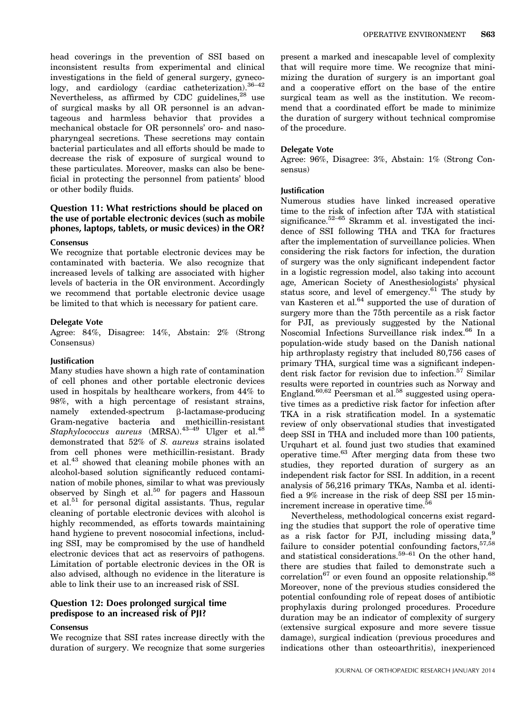head coverings in the prevention of SSI based on inconsistent results from experimental and clinical investigations in the field of general surgery, gynecology, and cardiology (cardiac catheterization).36–42 Nevertheless, as affirmed by CDC guidelines, $28$  use of surgical masks by all OR personnel is an advantageous and harmless behavior that provides a mechanical obstacle for OR personnels' oro- and nasopharyngeal secretions. These secretions may contain bacterial particulates and all efforts should be made to decrease the risk of exposure of surgical wound to these particulates. Moreover, masks can also be beneficial in protecting the personnel from patients' blood or other bodily fluids.

#### Question 11: What restrictions should be placed on the use of portable electronic devices (such as mobile phones, laptops, tablets, or music devices) in the OR?

#### **Consensus**

We recognize that portable electronic devices may be contaminated with bacteria. We also recognize that increased levels of talking are associated with higher levels of bacteria in the OR environment. Accordingly we recommend that portable electronic device usage be limited to that which is necessary for patient care.

#### Delegate Vote

Agree: 84%, Disagree: 14%, Abstain: 2% (Strong Consensus)

#### **Iustification**

Many studies have shown a high rate of contamination of cell phones and other portable electronic devices used in hospitals by healthcare workers, from 44% to 98%, with a high percentage of resistant strains, namely extended-spectrum  $\beta$ -lactamase-producing Gram-negative bacteria and methicillin-resistant Staphylococcus aureus (MRSA).<sup>43-49</sup> Ulger et al.<sup>48</sup> demonstrated that 52% of S. aureus strains isolated from cell phones were methicillin-resistant. Brady et al.43 showed that cleaning mobile phones with an alcohol-based solution significantly reduced contamination of mobile phones, similar to what was previously observed by Singh et al.<sup>50</sup> for pagers and Hassoun et al.<sup>51</sup> for personal digital assistants. Thus, regular cleaning of portable electronic devices with alcohol is highly recommended, as efforts towards maintaining hand hygiene to prevent nosocomial infections, including SSI, may be compromised by the use of handheld electronic devices that act as reservoirs of pathogens. Limitation of portable electronic devices in the OR is also advised, although no evidence in the literature is able to link their use to an increased risk of SSI.

### Question 12: Does prolonged surgical time predispose to an increased risk of PJI?

#### **Consensus**

We recognize that SSI rates increase directly with the duration of surgery. We recognize that some surgeries present a marked and inescapable level of complexity that will require more time. We recognize that minimizing the duration of surgery is an important goal and a cooperative effort on the base of the entire surgical team as well as the institution. We recommend that a coordinated effort be made to minimize the duration of surgery without technical compromise of the procedure.

#### Delegate Vote

Agree: 96%, Disagree: 3%, Abstain: 1% (Strong Consensus)

#### Justification

Numerous studies have linked increased operative time to the risk of infection after TJA with statistical significance.<sup>52–65</sup> Skramm et al. investigated the incidence of SSI following THA and TKA for fractures after the implementation of surveillance policies. When considering the risk factors for infection, the duration of surgery was the only significant independent factor in a logistic regression model, also taking into account age, American Society of Anesthesiologists' physical status score, and level of emergency.<sup>61</sup> The study by van Kasteren et al.<sup>64</sup> supported the use of duration of surgery more than the 75th percentile as a risk factor for PJI, as previously suggested by the National Noscomial Infections Surveillance risk index.<sup>66</sup> In a population-wide study based on the Danish national hip arthroplasty registry that included 80,756 cases of primary THA, surgical time was a significant independent risk factor for revision due to infection.<sup>57</sup> Similar results were reported in countries such as Norway and England.<sup>60,62</sup> Peersman et al.<sup>58</sup> suggested using operative times as a predictive risk factor for infection after TKA in a risk stratification model. In a systematic review of only observational studies that investigated deep SSI in THA and included more than 100 patients, Urquhart et al. found just two studies that examined operative time.63 After merging data from these two studies, they reported duration of surgery as an independent risk factor for SSI. In addition, in a recent analysis of 56,216 primary TKAs, Namba et al. identified a 9% increase in the risk of deep SSI per 15 minincrement increase in operative time.<sup>5</sup>

Nevertheless, methodological concerns exist regarding the studies that support the role of operative time as a risk factor for PJI, including missing data, $9$ failure to consider potential confounding factors,  $57,58$ and statistical considerations.<sup>59-61</sup> On the other hand, there are studies that failed to demonstrate such a correlation<sup>67</sup> or even found an opposite relationship.<sup>68</sup> Moreover, none of the previous studies considered the potential confounding role of repeat doses of antibiotic prophylaxis during prolonged procedures. Procedure duration may be an indicator of complexity of surgery (extensive surgical exposure and more severe tissue damage), surgical indication (previous procedures and indications other than osteoarthritis), inexperienced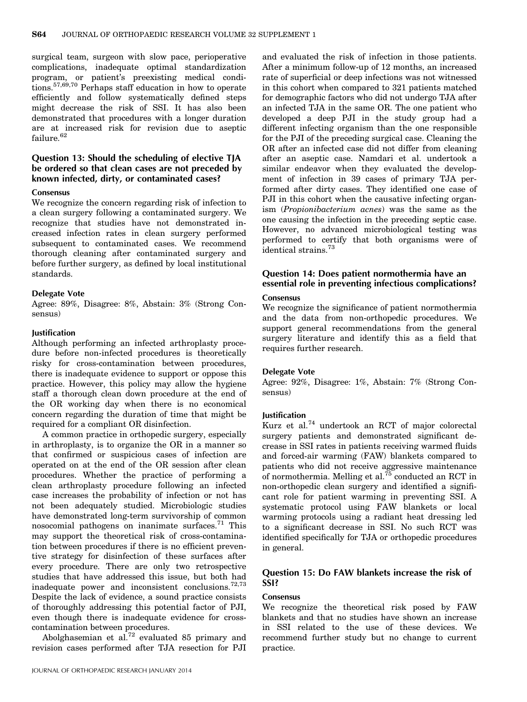surgical team, surgeon with slow pace, perioperative complications, inadequate optimal standardization program, or patient's preexisting medical condiprogram, or purchase  $\sum_{r=1}^{r}$   $\sum_{r=1}^{r}$  defines  $\sum_{r=1}^{r}$  defines  $\sum_{r=1}^{r}$  defines  $\sum_{r=1}^{r}$  defines  $\sum_{r=1}^{r}$  defines  $\sum_{r=1}^{r}$  defines  $\sum_{r=1}^{r}$  defines  $\sum_{r=1}^{r}$  defines  $\sum_{r=1}^{r}$  define efficiently and follow systematically defined steps might decrease the risk of SSI. It has also been demonstrated that procedures with a longer duration are at increased risk for revision due to aseptic failure.<sup>62</sup>

#### Question 13: Should the scheduling of elective TJA be ordered so that clean cases are not preceded by known infected, dirty, or contaminated cases?

#### **Consensus**

We recognize the concern regarding risk of infection to a clean surgery following a contaminated surgery. We recognize that studies have not demonstrated increased infection rates in clean surgery performed subsequent to contaminated cases. We recommend thorough cleaning after contaminated surgery and before further surgery, as defined by local institutional standards.

#### Delegate Vote

Agree: 89%, Disagree: 8%, Abstain: 3% (Strong Consensus)

#### Justification

Although performing an infected arthroplasty procedure before non-infected procedures is theoretically risky for cross-contamination between procedures, there is inadequate evidence to support or oppose this practice. However, this policy may allow the hygiene staff a thorough clean down procedure at the end of the OR working day when there is no economical concern regarding the duration of time that might be required for a compliant OR disinfection.

A common practice in orthopedic surgery, especially in arthroplasty, is to organize the OR in a manner so that confirmed or suspicious cases of infection are operated on at the end of the OR session after clean procedures. Whether the practice of performing a clean arthroplasty procedure following an infected case increases the probability of infection or not has not been adequately studied. Microbiologic studies have demonstrated long-term survivorship of common nosocomial pathogens on inanimate surfaces.<sup>71</sup> This may support the theoretical risk of cross-contamination between procedures if there is no efficient preventive strategy for disinfection of these surfaces after every procedure. There are only two retrospective studies that have addressed this issue, but both had inadequate power and inconsistent conclusions. $72,73$ Despite the lack of evidence, a sound practice consists of thoroughly addressing this potential factor of PJI, even though there is inadequate evidence for crosscontamination between procedures.

Abolghasemian et al.<sup>72</sup> evaluated 85 primary and revision cases performed after TJA resection for PJI

JOURNAL OF ORTHOPAEDIC RESEARCH JANUARY 2014

and evaluated the risk of infection in those patients. After a minimum follow-up of 12 months, an increased rate of superficial or deep infections was not witnessed in this cohort when compared to 321 patients matched for demographic factors who did not undergo TJA after an infected TJA in the same OR. The one patient who developed a deep PJI in the study group had a different infecting organism than the one responsible for the PJI of the preceding surgical case. Cleaning the OR after an infected case did not differ from cleaning after an aseptic case. Namdari et al. undertook a similar endeavor when they evaluated the development of infection in 39 cases of primary TJA performed after dirty cases. They identified one case of PJI in this cohort when the causative infecting organism (Propionibacterium acnes) was the same as the one causing the infection in the preceding septic case. However, no advanced microbiological testing was performed to certify that both organisms were of identical strains.<sup>73</sup>

#### Question 14: Does patient normothermia have an essential role in preventing infectious complications?

#### **Consensus**

We recognize the significance of patient normothermia and the data from non-orthopedic procedures. We support general recommendations from the general surgery literature and identify this as a field that requires further research.

#### Delegate Vote

Agree: 92%, Disagree: 1%, Abstain: 7% (Strong Consensus)

#### Justification

Kurz et al.74 undertook an RCT of major colorectal surgery patients and demonstrated significant decrease in SSI rates in patients receiving warmed fluids and forced-air warming (FAW) blankets compared to patients who did not receive aggressive maintenance of normothermia. Melling et al.<sup>75</sup> conducted an RCT in non-orthopedic clean surgery and identified a significant role for patient warming in preventing SSI. A systematic protocol using FAW blankets or local warming protocols using a radiant heat dressing led to a significant decrease in SSI. No such RCT was identified specifically for TJA or orthopedic procedures in general.

#### Question 15: Do FAW blankets increase the risk of SSI?

#### **Consensus**

We recognize the theoretical risk posed by FAW blankets and that no studies have shown an increase in SSI related to the use of these devices. We recommend further study but no change to current practice.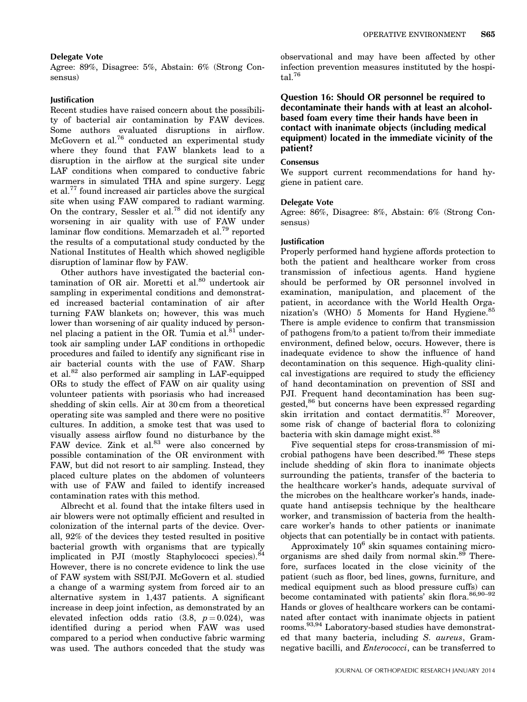#### Delegate Vote

Agree: 89%, Disagree: 5%, Abstain: 6% (Strong Consensus)

#### Justification

Recent studies have raised concern about the possibility of bacterial air contamination by FAW devices. Some authors evaluated disruptions in airflow. McGovern et al.<sup>76</sup> conducted an experimental study where they found that FAW blankets lead to a disruption in the airflow at the surgical site under LAF conditions when compared to conductive fabric warmers in simulated THA and spine surgery. Legg et al.77 found increased air particles above the surgical site when using FAW compared to radiant warming. On the contrary, Sessler et al.78 did not identify any worsening in air quality with use of FAW under laminar flow conditions. Memarzadeh et al.<sup>79</sup> reported the results of a computational study conducted by the National Institutes of Health which showed negligible disruption of laminar flow by FAW.

Other authors have investigated the bacterial contamination of OR air. Moretti et al.<sup>80</sup> undertook air sampling in experimental conditions and demonstrated increased bacterial contamination of air after turning FAW blankets on; however, this was much lower than worsening of air quality induced by personnel placing a patient in the OR. Tumia et al. $81$  undertook air sampling under LAF conditions in orthopedic procedures and failed to identify any significant rise in air bacterial counts with the use of FAW. Sharp et al. $82$  also performed air sampling in LAF-equipped ORs to study the effect of FAW on air quality using volunteer patients with psoriasis who had increased shedding of skin cells. Air at 30 cm from a theoretical operating site was sampled and there were no positive cultures. In addition, a smoke test that was used to visually assess airflow found no disturbance by the FAW device. Zink et al.<sup>83</sup> were also concerned by possible contamination of the OR environment with FAW, but did not resort to air sampling. Instead, they placed culture plates on the abdomen of volunteers with use of FAW and failed to identify increased contamination rates with this method.

Albrecht et al. found that the intake filters used in air blowers were not optimally efficient and resulted in colonization of the internal parts of the device. Overall, 92% of the devices they tested resulted in positive bacterial growth with organisms that are typically implicated in PJI (mostly Staphylococci species).<sup>84</sup> However, there is no concrete evidence to link the use of FAW system with SSI/PJI. McGovern et al. studied a change of a warming system from forced air to an alternative system in 1,437 patients. A significant increase in deep joint infection, as demonstrated by an elevated infection odds ratio  $(3.8, p=0.024)$ , was identified during a period when FAW was used compared to a period when conductive fabric warming was used. The authors conceded that the study was

observational and may have been affected by other infection prevention measures instituted by the hospital.<sup>76</sup>

Question 16: Should OR personnel be required to decontaminate their hands with at least an alcoholbased foam every time their hands have been in contact with inanimate objects (including medical equipment) located in the immediate vicinity of the patient?

#### **Consensus**

We support current recommendations for hand hygiene in patient care.

#### Delegate Vote

Agree: 86%, Disagree: 8%, Abstain: 6% (Strong Consensus)

#### Justification

Properly performed hand hygiene affords protection to both the patient and healthcare worker from cross transmission of infectious agents. Hand hygiene should be performed by OR personnel involved in examination, manipulation, and placement of the patient, in accordance with the World Health Organization's (WHO) 5 Moments for Hand Hygiene.<sup>85</sup> There is ample evidence to confirm that transmission of pathogens from/to a patient to/from their immediate environment, defined below, occurs. However, there is inadequate evidence to show the influence of hand decontamination on this sequence. High-quality clinical investigations are required to study the efficiency of hand decontamination on prevention of SSI and PJI. Frequent hand decontamination has been suggested,<sup>86</sup> but concerns have been expressed regarding skin irritation and contact dermatitis.<sup>87</sup> Moreover, some risk of change of bacterial flora to colonizing bacteria with skin damage might exist.<sup>88</sup>

Five sequential steps for cross-transmission of microbial pathogens have been described.<sup>86</sup> These steps include shedding of skin flora to inanimate objects surrounding the patients, transfer of the bacteria to the healthcare worker's hands, adequate survival of the microbes on the healthcare worker's hands, inadequate hand antisepsis technique by the healthcare worker, and transmission of bacteria from the healthcare worker's hands to other patients or inanimate objects that can potentially be in contact with patients.

Approximately  $10^6$  skin squames containing microorganisms are shed daily from normal skin.<sup>89</sup> Therefore, surfaces located in the close vicinity of the patient (such as floor, bed lines, gowns, furniture, and medical equipment such as blood pressure cuffs) can become contaminated with patients' skin flora.<sup>86,90–92</sup> Hands or gloves of healthcare workers can be contaminated after contact with inanimate objects in patient rooms.<sup>93,94</sup> Laboratory-based studies have demonstrated that many bacteria, including S. aureus, Gramnegative bacilli, and *Enterococci*, can be transferred to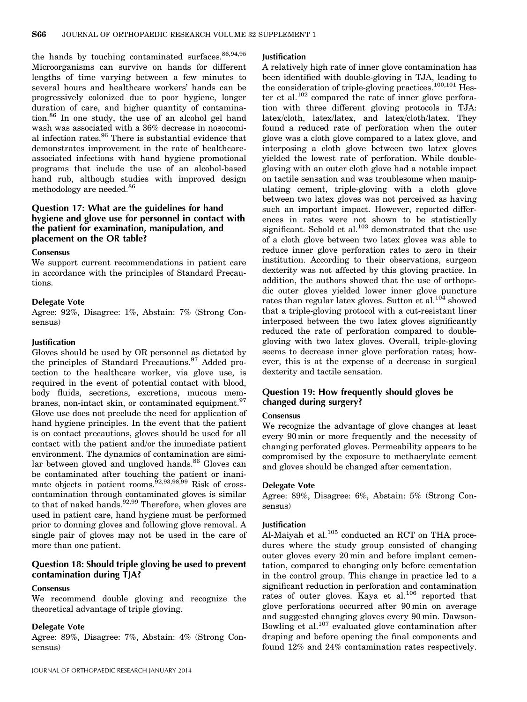the hands by touching contaminated surfaces.  $86,94,95$ Microorganisms can survive on hands for different lengths of time varying between a few minutes to several hours and healthcare workers' hands can be progressively colonized due to poor hygiene, longer duration of care, and higher quantity of contamination.86 In one study, the use of an alcohol gel hand wash was associated with a 36% decrease in nosocomial infection rates. $96$  There is substantial evidence that demonstrates improvement in the rate of healthcareassociated infections with hand hygiene promotional programs that include the use of an alcohol-based hand rub, although studies with improved design methodology are needed.<sup>86</sup>

#### Question 17: What are the guidelines for hand hygiene and glove use for personnel in contact with the patient for examination, manipulation, and placement on the OR table?

#### **Consensus**

We support current recommendations in patient care in accordance with the principles of Standard Precautions.

#### Delegate Vote

Agree: 92%, Disagree: 1%, Abstain: 7% (Strong Consensus)

#### Justification

Gloves should be used by OR personnel as dictated by the principles of Standard Precautions.<sup>97</sup> Added protection to the healthcare worker, via glove use, is required in the event of potential contact with blood, body fluids, secretions, excretions, mucous membranes, non-intact skin, or contaminated equipment. $97$ Glove use does not preclude the need for application of hand hygiene principles. In the event that the patient is on contact precautions, gloves should be used for all contact with the patient and/or the immediate patient environment. The dynamics of contamination are similar between gloved and ungloved hands.<sup>86</sup> Gloves can be contaminated after touching the patient or inanimate objects in patient rooms.<sup>92,93,98,99</sup> Risk of crosscontamination through contaminated gloves is similar to that of naked hands.<sup>92,99</sup> Therefore, when gloves are used in patient care, hand hygiene must be performed prior to donning gloves and following glove removal. A single pair of gloves may not be used in the care of more than one patient.

#### Question 18: Should triple gloving be used to prevent contamination during TJA?

#### **Consensus**

We recommend double gloving and recognize the theoretical advantage of triple gloving.

#### Delegate Vote

Agree: 89%, Disagree: 7%, Abstain: 4% (Strong Consensus)

#### **Iustification**

A relatively high rate of inner glove contamination has been identified with double-gloving in TJA, leading to the consideration of triple-gloving practices.<sup>100,101</sup> Hester et al.<sup>102</sup> compared the rate of inner glove perforation with three different gloving protocols in TJA: latex/cloth, latex/latex, and latex/cloth/latex. They found a reduced rate of perforation when the outer glove was a cloth glove compared to a latex glove, and interposing a cloth glove between two latex gloves yielded the lowest rate of perforation. While doublegloving with an outer cloth glove had a notable impact on tactile sensation and was troublesome when manipulating cement, triple-gloving with a cloth glove between two latex gloves was not perceived as having such an important impact. However, reported differences in rates were not shown to be statistically significant. Sebold et al.<sup>103</sup> demonstrated that the use of a cloth glove between two latex gloves was able to reduce inner glove perforation rates to zero in their institution. According to their observations, surgeon dexterity was not affected by this gloving practice. In addition, the authors showed that the use of orthopedic outer gloves yielded lower inner glove puncture rates than regular latex gloves. Sutton et al.<sup>104</sup> showed that a triple-gloving protocol with a cut-resistant liner interposed between the two latex gloves significantly reduced the rate of perforation compared to doublegloving with two latex gloves. Overall, triple-gloving seems to decrease inner glove perforation rates; however, this is at the expense of a decrease in surgical dexterity and tactile sensation.

#### Question 19: How frequently should gloves be changed during surgery?

#### **Consensus**

We recognize the advantage of glove changes at least every 90 min or more frequently and the necessity of changing perforated gloves. Permeability appears to be compromised by the exposure to methacrylate cement and gloves should be changed after cementation.

#### Delegate Vote

Agree: 89%, Disagree: 6%, Abstain: 5% (Strong Consensus)

#### Justification

Al-Maiyah et al.<sup>105</sup> conducted an RCT on THA procedures where the study group consisted of changing outer gloves every 20 min and before implant cementation, compared to changing only before cementation in the control group. This change in practice led to a significant reduction in perforation and contamination rates of outer gloves. Kaya et al.<sup>106</sup> reported that glove perforations occurred after 90 min on average and suggested changing gloves every 90 min. Dawson-Bowling et al.<sup>107</sup> evaluated glove contamination after draping and before opening the final components and found 12% and 24% contamination rates respectively.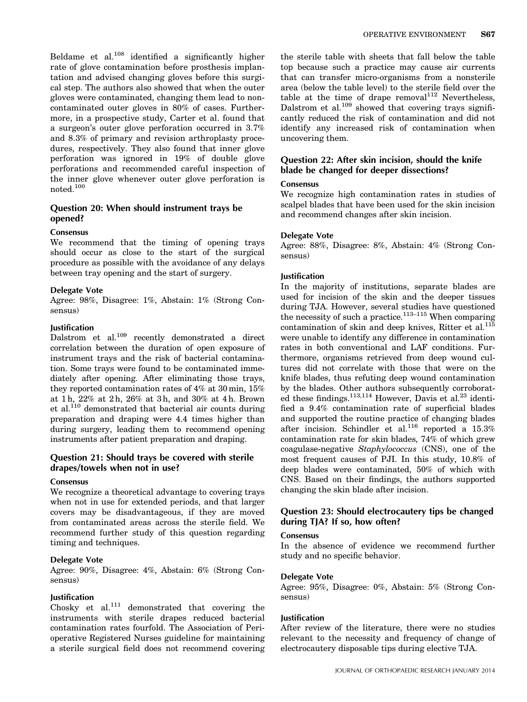Beldame et al. $108$  identified a significantly higher rate of glove contamination before prosthesis implantation and advised changing gloves before this surgical step. The authors also showed that when the outer gloves were contaminated, changing them lead to noncontaminated outer gloves in 80% of cases. Furthermore, in a prospective study, Carter et al. found that a surgeon's outer glove perforation occurred in 3.7% and 8.3% of primary and revision arthroplasty procedures, respectively. They also found that inner glove perforation was ignored in 19% of double glove perforations and recommended careful inspection of the inner glove whenever outer glove perforation is  $\rm noted.^{100}$ 

#### Question 20: When should instrument trays be opened?

#### **Consensus**

We recommend that the timing of opening trays should occur as close to the start of the surgical procedure as possible with the avoidance of any delays between tray opening and the start of surgery.

#### Delegate Vote

Agree: 98%, Disagree: 1%, Abstain: 1% (Strong Consensus)

#### Justification

Dalstrom et al.<sup>109</sup> recently demonstrated a direct correlation between the duration of open exposure of instrument trays and the risk of bacterial contamination. Some trays were found to be contaminated immediately after opening. After eliminating those trays, they reported contamination rates of 4% at 30 min, 15% at 1h, 22% at 2h, 26% at 3h, and 30% at 4h. Brown et al.110 demonstrated that bacterial air counts during preparation and draping were 4.4 times higher than during surgery, leading them to recommend opening instruments after patient preparation and draping.

#### Question 21: Should trays be covered with sterile drapes/towels when not in use?

#### Consensus

We recognize a theoretical advantage to covering trays when not in use for extended periods, and that larger covers may be disadvantageous, if they are moved from contaminated areas across the sterile field. We recommend further study of this question regarding timing and techniques.

#### Delegate Vote

Agree: 90%, Disagree: 4%, Abstain: 6% (Strong Consensus)

#### **Justification**

Chosky et al. $^{111}$  demonstrated that covering the instruments with sterile drapes reduced bacterial contamination rates fourfold. The Association of Perioperative Registered Nurses guideline for maintaining a sterile surgical field does not recommend covering the sterile table with sheets that fall below the table top because such a practice may cause air currents that can transfer micro-organisms from a nonsterile area (below the table level) to the sterile field over the table at the time of drape  $removal<sup>112</sup>$  Nevertheless, Dalstrom et al.<sup>109</sup> showed that covering trays significantly reduced the risk of contamination and did not identify any increased risk of contamination when uncovering them.

#### Question 22: After skin incision, should the knife blade be changed for deeper dissections?

#### **Consensus**

We recognize high contamination rates in studies of scalpel blades that have been used for the skin incision and recommend changes after skin incision.

#### Delegate Vote

Agree: 88%, Disagree: 8%, Abstain: 4% (Strong Consensus)

#### **Iustification**

In the majority of institutions, separate blades are used for incision of the skin and the deeper tissues during TJA. However, several studies have questioned the necessity of such a practice.<sup>113–115</sup> When comparing contamination of skin and deep knives, Ritter et al.<sup>115</sup> were unable to identify any difference in contamination rates in both conventional and LAF conditions. Furthermore, organisms retrieved from deep wound cultures did not correlate with those that were on the knife blades, thus refuting deep wound contamination by the blades. Other authors subsequently corroborated these findings.<sup>113,114</sup> However, Davis et al.<sup>23</sup> identified a 9.4% contamination rate of superficial blades and supported the routine practice of changing blades after incision. Schindler et al.<sup>116</sup> reported a  $15.3\%$ contamination rate for skin blades, 74% of which grew coagulase-negative Staphylococcus (CNS), one of the most frequent causes of PJI. In this study, 10.8% of deep blades were contaminated, 50% of which with CNS. Based on their findings, the authors supported changing the skin blade after incision.

#### Question 23: Should electrocautery tips be changed during TJA? If so, how often?

#### **Consensus**

In the absence of evidence we recommend further study and no specific behavior.

#### Delegate Vote

Agree: 95%, Disagree: 0%, Abstain: 5% (Strong Consensus)

#### Justification

After review of the literature, there were no studies relevant to the necessity and frequency of change of electrocautery disposable tips during elective TJA.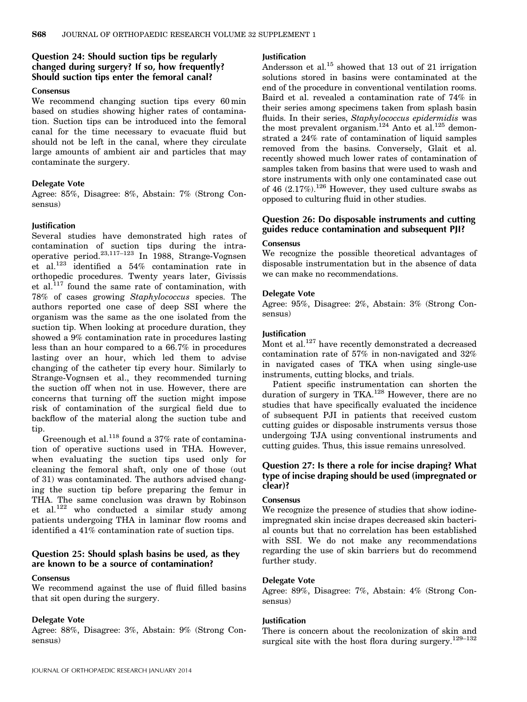#### Question 24: Should suction tips be regularly changed during surgery? If so, how frequently? Should suction tips enter the femoral canal?

#### **Consensus**

We recommend changing suction tips every 60 min based on studies showing higher rates of contamination. Suction tips can be introduced into the femoral canal for the time necessary to evacuate fluid but should not be left in the canal, where they circulate large amounts of ambient air and particles that may contaminate the surgery.

#### Delegate Vote

Agree: 85%, Disagree: 8%, Abstain: 7% (Strong Consensus)

#### **Justification**

Several studies have demonstrated high rates of contamination of suction tips during the intraoperative period.23,117–123 In 1988, Strange-Vognsen et al.<sup>123</sup> identified a 54% contamination rate in orthopedic procedures. Twenty years later, Givissis et al. $^{117}$  found the same rate of contamination, with 78% of cases growing Staphylococcus species. The authors reported one case of deep SSI where the organism was the same as the one isolated from the suction tip. When looking at procedure duration, they showed a 9% contamination rate in procedures lasting less than an hour compared to a 66.7% in procedures lasting over an hour, which led them to advise changing of the catheter tip every hour. Similarly to Strange-Vognsen et al., they recommended turning the suction off when not in use. However, there are concerns that turning off the suction might impose risk of contamination of the surgical field due to backflow of the material along the suction tube and tip.

Greenough et al.<sup>118</sup> found a 37% rate of contamination of operative suctions used in THA. However, when evaluating the suction tips used only for cleaning the femoral shaft, only one of those (out of 31) was contaminated. The authors advised changing the suction tip before preparing the femur in THA. The same conclusion was drawn by Robinson et al.<sup>122</sup> who conducted a similar study among patients undergoing THA in laminar flow rooms and identified a 41% contamination rate of suction tips.

#### Question 25: Should splash basins be used, as they are known to be a source of contamination?

#### **Consensus**

We recommend against the use of fluid filled basins that sit open during the surgery.

#### Delegate Vote

Agree: 88%, Disagree: 3%, Abstain: 9% (Strong Consensus)

#### **Iustification**

Andersson et al.<sup>15</sup> showed that 13 out of 21 irrigation solutions stored in basins were contaminated at the end of the procedure in conventional ventilation rooms. Baird et al. revealed a contamination rate of 74% in their series among specimens taken from splash basin fluids. In their series, Staphylococcus epidermidis was the most prevalent organism.<sup>124</sup> Anto et al.<sup>125</sup> demonstrated a 24% rate of contamination of liquid samples removed from the basins. Conversely, Glait et al. recently showed much lower rates of contamination of samples taken from basins that were used to wash and store instruments with only one contaminated case out of 46  $(2.17\%)$ .<sup>126</sup> However, they used culture swabs as opposed to culturing fluid in other studies.

#### Question 26: Do disposable instruments and cutting guides reduce contamination and subsequent PJI?

#### **Consensus**

We recognize the possible theoretical advantages of disposable instrumentation but in the absence of data we can make no recommendations.

#### Delegate Vote

Agree: 95%, Disagree: 2%, Abstain: 3% (Strong Consensus)

#### Justification

Mont et al.<sup>127</sup> have recently demonstrated a decreased contamination rate of 57% in non-navigated and 32% in navigated cases of TKA when using single-use instruments, cutting blocks, and trials.

Patient specific instrumentation can shorten the duration of surgery in TKA.<sup>128</sup> However, there are no studies that have specifically evaluated the incidence of subsequent PJI in patients that received custom cutting guides or disposable instruments versus those undergoing TJA using conventional instruments and cutting guides. Thus, this issue remains unresolved.

#### Question 27: Is there a role for incise draping? What type of incise draping should be used (impregnated or clear)?

#### **Consensus**

We recognize the presence of studies that show iodineimpregnated skin incise drapes decreased skin bacterial counts but that no correlation has been established with SSI. We do not make any recommendations regarding the use of skin barriers but do recommend further study.

#### Delegate Vote

Agree: 89%, Disagree: 7%, Abstain: 4% (Strong Consensus)

#### **Iustification**

There is concern about the recolonization of skin and surgical site with the host flora during surgery.<sup>129–132</sup>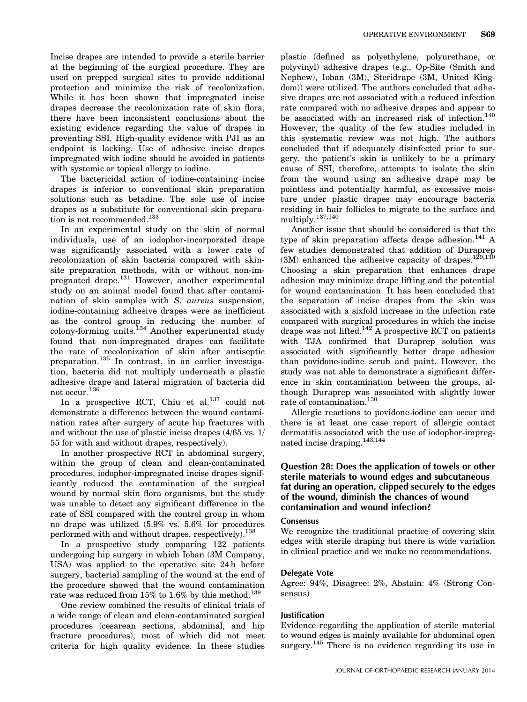Incise drapes are intended to provide a sterile barrier at the beginning of the surgical procedure. They are used on prepped surgical sites to provide additional protection and minimize the risk of recolonization. While it has been shown that impregnated incise drapes decrease the recolonization rate of skin flora, there have been inconsistent conclusions about the existing evidence regarding the value of drapes in preventing SSI. High-quality evidence with PJI as an endpoint is lacking. Use of adhesive incise drapes impregnated with iodine should be avoided in patients with systemic or topical allergy to iodine.

The bactericidal action of iodine-containing incise drapes is inferior to conventional skin preparation solutions such as betadine. The sole use of incise drapes as a substitute for conventional skin preparation is not recommended. $^{133}$ 

In an experimental study on the skin of normal individuals, use of an iodophor-incorporated drape was significantly associated with a lower rate of recolonization of skin bacteria compared with skinsite preparation methods, with or without non-impregnated drape.<sup>131</sup> However, another experimental study on an animal model found that after contamination of skin samples with S. aureus suspension, iodine-containing adhesive drapes were as inefficient as the control group in reducing the number of colony-forming units.<sup>134</sup> Another experimental study found that non-impregnated drapes can facilitate the rate of recolonization of skin after antiseptic preparation.<sup>135</sup> In contrast, in an earlier investigation, bacteria did not multiply underneath a plastic adhesive drape and lateral migration of bacteria did not occur.<sup>136</sup>

In a prospective RCT, Chiu et al.<sup>137</sup> could not demonstrate a difference between the wound contamination rates after surgery of acute hip fractures with and without the use of plastic incise drapes (4/65 vs. 1/ 55 for with and without drapes, respectively).

In another prospective RCT in abdominal surgery, within the group of clean and clean-contaminated procedures, iodophor-impregnated incise drapes significantly reduced the contamination of the surgical wound by normal skin flora organisms, but the study was unable to detect any significant difference in the rate of SSI compared with the control group in whom no drape was utilized (5.9% vs. 5.6% for procedures performed with and without drapes, respectively).<sup>138</sup>

In a prospective study comparing 122 patients undergoing hip surgery in which Ioban (3M Company, USA) was applied to the operative site 24 h before surgery, bacterial sampling of the wound at the end of the procedure showed that the wound contamination rate was reduced from 15% to 1.6% by this method.<sup>139</sup>

One review combined the results of clinical trials of a wide range of clean and clean-contaminated surgical procedures (cesarean sections, abdominal, and hip fracture procedures), most of which did not meet criteria for high quality evidence. In these studies

plastic (defined as polyethylene, polyurethane, or polyvinyl) adhesive drapes (e.g., Op-Site (Smith and Nephew), Ioban (3M), Steridrape (3M, United Kingdom)) were utilized. The authors concluded that adhesive drapes are not associated with a reduced infection rate compared with no adhesive drapes and appear to be associated with an increased risk of infection.<sup>140</sup> However, the quality of the few studies included in this systematic review was not high. The authors concluded that if adequately disinfected prior to surgery, the patient's skin is unlikely to be a primary cause of SSI; therefore, attempts to isolate the skin from the wound using an adhesive drape may be pointless and potentially harmful, as excessive moisture under plastic drapes may encourage bacteria residing in hair follicles to migrate to the surface and multiply.137,140

Another issue that should be considered is that the type of skin preparation affects drape adhesion.<sup>141</sup> A few studies demonstrated that addition of Duraprep  $(3M)$  enhanced the adhesive capacity of drapes.<sup>129,130</sup> Choosing a skin preparation that enhances drape adhesion may minimize drape lifting and the potential for wound contamination. It has been concluded that the separation of incise drapes from the skin was associated with a sixfold increase in the infection rate compared with surgical procedures in which the incise drape was not lifted.<sup>142</sup> A prospective RCT on patients with TJA confirmed that Duraprep solution was associated with significantly better drape adhesion than povidone-iodine scrub and paint. However, the study was not able to demonstrate a significant difference in skin contamination between the groups, although Duraprep was associated with slightly lower rate of contamination.<sup>130</sup>

Allergic reactions to povidone-iodine can occur and there is at least one case report of allergic contact dermatitis associated with the use of iodophor-impregnated incise draping.143,144

#### Question 28: Does the application of towels or other sterile materials to wound edges and subcutaneous fat during an operation, clipped securely to the edges of the wound, diminish the chances of wound contamination and wound infection?

#### **Consensus**

We recognize the traditional practice of covering skin edges with sterile draping but there is wide variation in clinical practice and we make no recommendations.

#### Delegate Vote

Agree: 94%, Disagree: 2%, Abstain: 4% (Strong Consensus)

#### Justification

Evidence regarding the application of sterile material to wound edges is mainly available for abdominal open surgery.<sup>145</sup> There is no evidence regarding its use in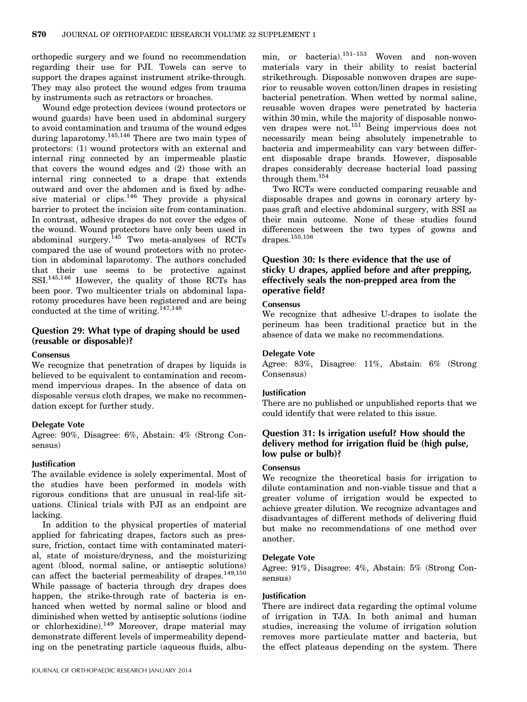orthopedic surgery and we found no recommendation regarding their use for PJI. Towels can serve to support the drapes against instrument strike-through. They may also protect the wound edges from trauma by instruments such as retractors or broaches.

Wound edge protection devices (wound protectors or wound guards) have been used in abdominal surgery to avoid contamination and trauma of the wound edges during laparotomy.<sup>145,146</sup> There are two main types of protectors: (1) wound protectors with an external and internal ring connected by an impermeable plastic that covers the wound edges and (2) those with an internal ring connected to a drape that extends outward and over the abdomen and is fixed by adhesive material or clips.<sup>146</sup> They provide a physical barrier to protect the incision site from contamination. In contrast, adhesive drapes do not cover the edges of the wound. Wound protectors have only been used in abdominal surgery.<sup>145</sup> Two meta-analyses of RCTs compared the use of wound protectors with no protection in abdominal laparotomy. The authors concluded that their use seems to be protective against SSI.145,146 However, the quality of those RCTs has been poor. Two multicenter trials on abdominal laparotomy procedures have been registered and are being conducted at the time of writing.<sup>147,148</sup>

#### Question 29: What type of draping should be used (reusable or disposable)?

#### **Consensus**

We recognize that penetration of drapes by liquids is believed to be equivalent to contamination and recommend impervious drapes. In the absence of data on disposable versus cloth drapes, we make no recommendation except for further study.

#### Delegate Vote

Agree: 90%, Disagree: 6%, Abstain: 4% (Strong Consensus)

#### Justification

The available evidence is solely experimental. Most of the studies have been performed in models with rigorous conditions that are unusual in real-life situations. Clinical trials with PJI as an endpoint are lacking.

In addition to the physical properties of material applied for fabricating drapes, factors such as pressure, friction, contact time with contaminated material, state of moisture/dryness, and the moisturizing agent (blood, normal saline, or antiseptic solutions) can affect the bacterial permeability of drapes.<sup>149,150</sup> While passage of bacteria through dry drapes does happen, the strike-through rate of bacteria is enhanced when wetted by normal saline or blood and diminished when wetted by antiseptic solutions (iodine or chlorhexidine).<sup>149</sup> Moreover, drape material may demonstrate different levels of impermeability depending on the penetrating particle (aqueous fluids, albumin, or bacteria).151–153 Woven and non-woven materials vary in their ability to resist bacterial strikethrough. Disposable nonwoven drapes are superior to reusable woven cotton/linen drapes in resisting bacterial penetration. When wetted by normal saline, reusable woven drapes were penetrated by bacteria within 30 min, while the majority of disposable nonwoven drapes were not.151 Being impervious does not necessarily mean being absolutely impenetrable to bacteria and impermeability can vary between different disposable drape brands. However, disposable drapes considerably decrease bacterial load passing through them.154

Two RCTs were conducted comparing reusable and disposable drapes and gowns in coronary artery bypass graft and elective abdominal surgery, with SSI as their main outcome. None of these studies found differences between the two types of gowns and drapes.155,156

#### Question 30: Is there evidence that the use of sticky U drapes, applied before and after prepping, effectively seals the non-prepped area from the operative field?

#### **Consensus**

We recognize that adhesive U-drapes to isolate the perineum has been traditional practice but in the absence of data we make no recommendations.

#### Delegate Vote

Agree: 83%, Disagree: 11%, Abstain: 6% (Strong Consensus)

#### Justification

There are no published or unpublished reports that we could identify that were related to this issue.

#### Question 31: Is irrigation useful? How should the delivery method for irrigation fluid be (high pulse, low pulse or bulb)?

#### **Consensus**

We recognize the theoretical basis for irrigation to dilute contamination and non-viable tissue and that a greater volume of irrigation would be expected to achieve greater dilution. We recognize advantages and disadvantages of different methods of delivering fluid but make no recommendations of one method over another.

#### Delegate Vote

Agree: 91%, Disagree: 4%, Abstain: 5% (Strong Consensus)

#### Justification

There are indirect data regarding the optimal volume of irrigation in TJA. In both animal and human studies, increasing the volume of irrigation solution removes more particulate matter and bacteria, but the effect plateaus depending on the system. There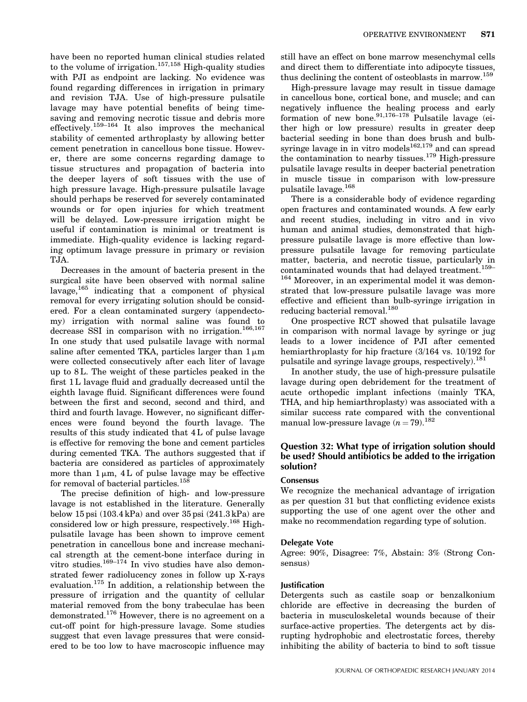have been no reported human clinical studies related to the volume of irrigation.<sup>157,158</sup> High-quality studies with PJI as endpoint are lacking. No evidence was found regarding differences in irrigation in primary and revision TJA. Use of high-pressure pulsatile lavage may have potential benefits of being timesaving and removing necrotic tissue and debris more effectively.159–164 It also improves the mechanical stability of cemented arthroplasty by allowing better cement penetration in cancellous bone tissue. However, there are some concerns regarding damage to tissue structures and propagation of bacteria into the deeper layers of soft tissues with the use of high pressure lavage. High-pressure pulsatile lavage should perhaps be reserved for severely contaminated wounds or for open injuries for which treatment will be delayed. Low-pressure irrigation might be useful if contamination is minimal or treatment is immediate. High-quality evidence is lacking regarding optimum lavage pressure in primary or revision TJA.

Decreases in the amount of bacteria present in the surgical site have been observed with normal saline lavage,<sup>165</sup> indicating that a component of physical removal for every irrigating solution should be considered. For a clean contaminated surgery (appendectomy) irrigation with normal saline was found to decrease SSI in comparison with no irrigation.<sup>166,167</sup> In one study that used pulsatile lavage with normal saline after cemented TKA, particles larger than  $1 \mu m$ were collected consecutively after each liter of lavage up to 8 L. The weight of these particles peaked in the first 1 L lavage fluid and gradually decreased until the eighth lavage fluid. Significant differences were found between the first and second, second and third, and third and fourth lavage. However, no significant differences were found beyond the fourth lavage. The results of this study indicated that 4 L of pulse lavage is effective for removing the bone and cement particles during cemented TKA. The authors suggested that if bacteria are considered as particles of approximately more than  $1 \mu m$ ,  $4 L$  of pulse lavage may be effective for removal of bacterial particles.<sup>158</sup>

The precise definition of high- and low-pressure lavage is not established in the literature. Generally below  $15$  psi  $(103.4 \text{ kPa})$  and over  $35$  psi  $(241.3 \text{ kPa})$  are considered low or high pressure, respectively.<sup>168</sup> Highpulsatile lavage has been shown to improve cement penetration in cancellous bone and increase mechanical strength at the cement-bone interface during in vitro studies.<sup>169-174</sup> In vivo studies have also demonstrated fewer radiolucency zones in follow up X-rays evaluation.<sup>175</sup> In addition, a relationship between the pressure of irrigation and the quantity of cellular material removed from the bony trabeculae has been demonstrated.<sup>176</sup> However, there is no agreement on a cut-off point for high-pressure lavage. Some studies suggest that even lavage pressures that were considered to be too low to have macroscopic influence may still have an effect on bone marrow mesenchymal cells and direct them to differentiate into adipocyte tissues, thus declining the content of osteoblasts in marrow.<sup>159</sup>

High-pressure lavage may result in tissue damage in cancellous bone, cortical bone, and muscle; and can negatively influence the healing process and early formation of new bone.<sup>91,176–178</sup> Pulsatile lavage (either high or low pressure) results in greater deep bacterial seeding in bone than does brush and bulbsyringe lavage in in vitro models<sup>162,179</sup> and can spread the contamination to nearby tissues.<sup>179</sup> High-pressure pulsatile lavage results in deeper bacterial penetration in muscle tissue in comparison with low-pressure pulsatile lavage.<sup>168</sup>

There is a considerable body of evidence regarding open fractures and contaminated wounds. A few early and recent studies, including in vitro and in vivo human and animal studies, demonstrated that highpressure pulsatile lavage is more effective than lowpressure pulsatile lavage for removing particulate matter, bacteria, and necrotic tissue, particularly in contaminated wounds that had delayed treatment.<sup>159–</sup> <sup>164</sup> Moreover, in an experimental model it was demonstrated that low-pressure pulsatile lavage was more effective and efficient than bulb-syringe irrigation in reducing bacterial removal.<sup>180</sup>

One prospective RCT showed that pulsatile lavage in comparison with normal lavage by syringe or jug leads to a lower incidence of PJI after cemented hemiarthroplasty for hip fracture (3/164 vs. 10/192 for pulsatile and syringe lavage groups, respectively).<sup>181</sup>

In another study, the use of high-pressure pulsatile lavage during open debridement for the treatment of acute orthopedic implant infections (mainly TKA, THA, and hip hemiarthroplasty) was associated with a similar success rate compared with the conventional manual low-pressure lavage  $(n = 79).^{182}$ 

#### Question 32: What type of irrigation solution should be used? Should antibiotics be added to the irrigation solution?

#### **Consensus**

We recognize the mechanical advantage of irrigation as per question 31 but that conflicting evidence exists supporting the use of one agent over the other and make no recommendation regarding type of solution.

#### Delegate Vote

Agree: 90%, Disagree: 7%, Abstain: 3% (Strong Consensus)

#### Justification

Detergents such as castile soap or benzalkonium chloride are effective in decreasing the burden of bacteria in musculoskeletal wounds because of their surface-active properties. The detergents act by disrupting hydrophobic and electrostatic forces, thereby inhibiting the ability of bacteria to bind to soft tissue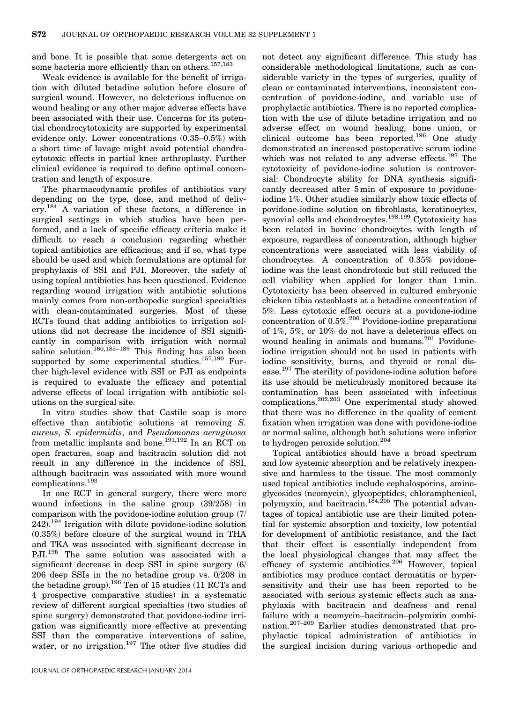and bone. It is possible that some detergents act on some bacteria more efficiently than on others.<sup>157,183</sup>

Weak evidence is available for the benefit of irrigation with diluted betadine solution before closure of surgical wound. However, no deleterious influence on wound healing or any other major adverse effects have been associated with their use. Concerns for its potential chondrocytotoxicity are supported by experimental evidence only. Lower concentrations (0.35–0.5%) with a short time of lavage might avoid potential chondrocytotoxic effects in partial knee arthroplasty. Further clinical evidence is required to define optimal concentration and length of exposure.

The pharmacodynamic profiles of antibiotics vary depending on the type, dose, and method of delivery.184 A variation of these factors, a difference in surgical settings in which studies have been performed, and a lack of specific efficacy criteria make it difficult to reach a conclusion regarding whether topical antibiotics are efficacious; and if so, what type should be used and which formulations are optimal for prophylaxis of SSI and PJI. Moreover, the safety of using topical antibiotics has been questioned. Evidence regarding wound irrigation with antibiotic solutions mainly comes from non-orthopedic surgical specialties with clean-contaminated surgeries. Most of these RCTs found that adding antibiotics to irrigation solutions did not decrease the incidence of SSI significantly in comparison with irrigation with normal saline solution.<sup>160,185–189</sup> This finding has also been supported by some experimental studies.<sup>157,190</sup> Further high-level evidence with SSI or PJI as endpoints is required to evaluate the efficacy and potential adverse effects of local irrigation with antibiotic solutions on the surgical site.

In vitro studies show that Castile soap is more effective than antibiotic solutions at removing S. aureus, S. epidermidis, and Pseudomonas aeruginosa from metallic implants and bone.<sup>191,192</sup> In an RCT on open fractures, soap and bacitracin solution did not result in any difference in the incidence of SSI, although bacitracin was associated with more wound complications.193

In one RCT in general surgery, there were more wound infections in the saline group (39/258) in comparison with the povidone-iodine solution group (7/  $242$ ).<sup>194</sup> Irrigation with dilute povidone-iodine solution (0.35%) before closure of the surgical wound in THA and TKA was associated with significant decrease in PJI.195 The same solution was associated with a significant decrease in deep SSI in spine surgery (6/ 206 deep SSIs in the no betadine group vs. 0/208 in the betadine group).<sup>196</sup> Ten of 15 studies (11 RCTs and 4 prospective comparative studies) in a systematic review of different surgical specialties (two studies of spine surgery) demonstrated that povidone-iodine irrigation was significantly more effective at preventing SSI than the comparative interventions of saline, water, or no irrigation.<sup>197</sup> The other five studies did

not detect any significant difference. This study has considerable methodological limitations, such as considerable variety in the types of surgeries, quality of clean or contaminated interventions, inconsistent concentration of povidone-iodine, and variable use of prophylactic antibiotics. There is no reported complication with the use of dilute betadine irrigation and no adverse effect on wound healing, bone union, or clinical outcome has been reported.<sup>196</sup> One study demonstrated an increased postoperative serum iodine which was not related to any adverse effects.<sup>197</sup> The cytotoxicity of povidone-iodine solution is controversial: Chondrocyte ability for DNA synthesis significantly decreased after 5 min of exposure to povidoneiodine 1%. Other studies similarly show toxic effects of povidone-iodine solution on fibroblasts, keratinocytes, synovial cells and chondrocytes.198,199 Cytotoxicity has been related in bovine chondrocytes with length of exposure, regardless of concentration, although higher concentrations were associated with less viability of chondrocytes. A concentration of 0.35% povidoneiodine was the least chondrotoxic but still reduced the cell viability when applied for longer than 1 min. Cytotoxicity has been observed in cultured embryonic chicken tibia osteoblasts at a betadine concentration of 5%. Less cytotoxic effect occurs at a povidone-iodine concentration of 0.5%.200 Povidone-iodine preparations of 1%, 5%, or 10% do not have a deleterious effect on wound healing in animals and humans.<sup>201</sup> Povidoneiodine irrigation should not be used in patients with iodine sensitivity, burns, and thyroid or renal disease.197 The sterility of povidone-iodine solution before its use should be meticulously monitored because its contamination has been associated with infectious complications.202,203 One experimental study showed that there was no difference in the quality of cement fixation when irrigation was done with povidone-iodine or normal saline, although both solutions were inferior to hydrogen peroxide solution.<sup>204</sup>

Topical antibiotics should have a broad spectrum and low systemic absorption and be relatively inexpensive and harmless to the tissue. The most commonly used topical antibiotics include cephalosporins, aminoglycosides (neomycin), glycopeptides, chloramphenicol, polymyxin, and bacitracin.<sup>184,205</sup> The potential advantages of topical antibiotic use are their limited potential for systemic absorption and toxicity, low potential for development of antibiotic resistance, and the fact that their effect is essentially independent from the local physiological changes that may affect the efficacy of systemic antibiotics.206 However, topical antibiotics may produce contact dermatitis or hypersensitivity and their use has been reported to be associated with serious systemic effects such as anaphylaxis with bacitracin and deafness and renal failure with a neomycin–bacitracin–polymixin combination.207–209 Earlier studies demonstrated that prophylactic topical administration of antibiotics in the surgical incision during various orthopedic and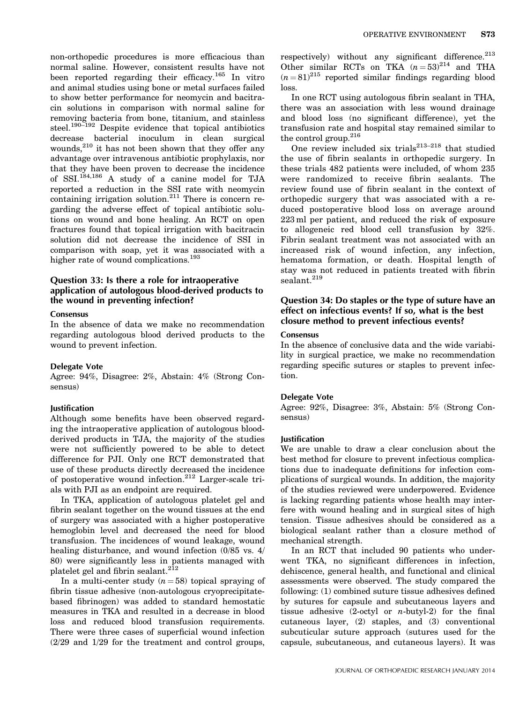non-orthopedic procedures is more efficacious than normal saline. However, consistent results have not been reported regarding their efficacy.<sup>165</sup> In vitro and animal studies using bone or metal surfaces failed to show better performance for neomycin and bacitracin solutions in comparison with normal saline for removing bacteria from bone, titanium, and stainless steel.<sup>190–192</sup> Despite evidence that topical antibiotics decrease bacterial inoculum in clean surgical wounds,<sup>210</sup> it has not been shown that they offer any advantage over intravenous antibiotic prophylaxis, nor that they have been proven to decrease the incidence of SSI.184,186 A study of a canine model for TJA reported a reduction in the SSI rate with neomycin containing irrigation solution.<sup>211</sup> There is concern regarding the adverse effect of topical antibiotic solutions on wound and bone healing. An RCT on open fractures found that topical irrigation with bacitracin solution did not decrease the incidence of SSI in comparison with soap, yet it was associated with a higher rate of wound complications.<sup>193</sup>

#### Question 33: Is there a role for intraoperative application of autologous blood-derived products to the wound in preventing infection?

#### **Consensus**

In the absence of data we make no recommendation regarding autologous blood derived products to the wound to prevent infection.

#### Delegate Vote

Agree: 94%, Disagree: 2%, Abstain: 4% (Strong Consensus)

#### Justification

Although some benefits have been observed regarding the intraoperative application of autologous bloodderived products in TJA, the majority of the studies were not sufficiently powered to be able to detect difference for PJI. Only one RCT demonstrated that use of these products directly decreased the incidence of postoperative wound infection.<sup>212</sup> Larger-scale trials with PJI as an endpoint are required.

In TKA, application of autologous platelet gel and fibrin sealant together on the wound tissues at the end of surgery was associated with a higher postoperative hemoglobin level and decreased the need for blood transfusion. The incidences of wound leakage, wound healing disturbance, and wound infection (0/85 vs. 4/ 80) were significantly less in patients managed with platelet gel and fibrin sealant.<sup>212</sup>

In a multi-center study  $(n = 58)$  topical spraying of fibrin tissue adhesive (non-autologous cryoprecipitatebased fibrinogen) was added to standard hemostatic measures in TKA and resulted in a decrease in blood loss and reduced blood transfusion requirements. There were three cases of superficial wound infection (2/29 and 1/29 for the treatment and control groups,

respectively) without any significant difference. $^{213}$ Other similar RCTs on TKA  $(n=53)^{214}$  and THA  $(n = 81)^{215}$  reported similar findings regarding blood loss.

In one RCT using autologous fibrin sealant in THA, there was an association with less wound drainage and blood loss (no significant difference), yet the transfusion rate and hospital stay remained similar to the control group. $216$ 

One review included six trials $213-218$  that studied the use of fibrin sealants in orthopedic surgery. In these trials 482 patients were included, of whom 235 were randomized to receive fibrin sealants. The review found use of fibrin sealant in the context of orthopedic surgery that was associated with a reduced postoperative blood loss on average around 223 ml per patient, and reduced the risk of exposure to allogeneic red blood cell transfusion by 32%. Fibrin sealant treatment was not associated with an increased risk of wound infection, any infection, hematoma formation, or death. Hospital length of stay was not reduced in patients treated with fibrin sealant.<sup>219</sup>

#### Question 34: Do staples or the type of suture have an effect on infectious events? If so, what is the best closure method to prevent infectious events?

#### **Consensus**

In the absence of conclusive data and the wide variability in surgical practice, we make no recommendation regarding specific sutures or staples to prevent infection.

#### Delegate Vote

Agree: 92%, Disagree: 3%, Abstain: 5% (Strong Consensus)

#### Justification

We are unable to draw a clear conclusion about the best method for closure to prevent infectious complications due to inadequate definitions for infection complications of surgical wounds. In addition, the majority of the studies reviewed were underpowered. Evidence is lacking regarding patients whose health may interfere with wound healing and in surgical sites of high tension. Tissue adhesives should be considered as a biological sealant rather than a closure method of mechanical strength.

In an RCT that included 90 patients who underwent TKA, no significant differences in infection, dehiscence, general health, and functional and clinical assessments were observed. The study compared the following: (1) combined suture tissue adhesives defined by sutures for capsule and subcutaneous layers and tissue adhesive  $(2$ -octyl or *n*-butyl-2) for the final cutaneous layer, (2) staples, and (3) conventional subcuticular suture approach (sutures used for the capsule, subcutaneous, and cutaneous layers). It was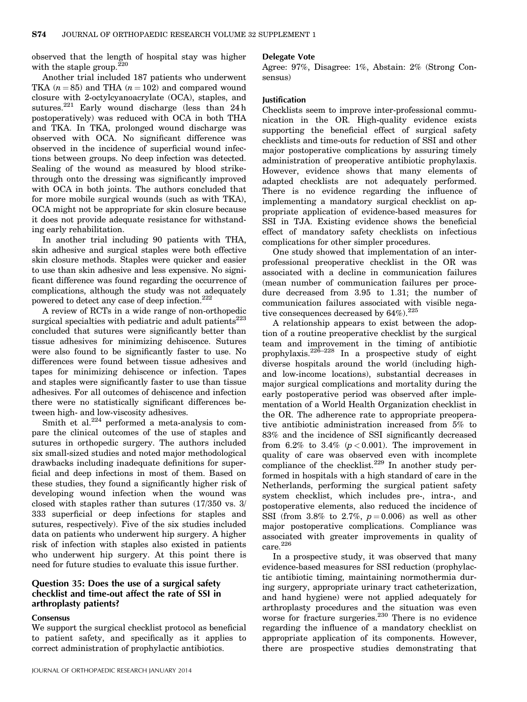observed that the length of hospital stay was higher with the staple group. $220$ 

Another trial included 187 patients who underwent TKA  $(n = 85)$  and THA  $(n = 102)$  and compared wound closure with 2-octylcyanoacrylate (OCA), staples, and sutures.<sup>221</sup> Early wound discharge (less than 24 h postoperatively) was reduced with OCA in both THA and TKA. In TKA, prolonged wound discharge was observed with OCA. No significant difference was observed in the incidence of superficial wound infections between groups. No deep infection was detected. Sealing of the wound as measured by blood strikethrough onto the dressing was significantly improved with OCA in both joints. The authors concluded that for more mobile surgical wounds (such as with TKA), OCA might not be appropriate for skin closure because it does not provide adequate resistance for withstanding early rehabilitation.

In another trial including 90 patients with THA, skin adhesive and surgical staples were both effective skin closure methods. Staples were quicker and easier to use than skin adhesive and less expensive. No significant difference was found regarding the occurrence of complications, although the study was not adequately powered to detect any case of deep infection.<sup>222</sup>

A review of RCTs in a wide range of non-orthopedic surgical specialties with pediatric and adult patients $^{223}$ concluded that sutures were significantly better than tissue adhesives for minimizing dehiscence. Sutures were also found to be significantly faster to use. No differences were found between tissue adhesives and tapes for minimizing dehiscence or infection. Tapes and staples were significantly faster to use than tissue adhesives. For all outcomes of dehiscence and infection there were no statistically significant differences between high- and low-viscosity adhesives.

Smith et al. $224$  performed a meta-analysis to compare the clinical outcomes of the use of staples and sutures in orthopedic surgery. The authors included six small-sized studies and noted major methodological drawbacks including inadequate definitions for superficial and deep infections in most of them. Based on these studies, they found a significantly higher risk of developing wound infection when the wound was closed with staples rather than sutures (17/350 vs. 3/ 333 superficial or deep infections for staples and sutures, respectively). Five of the six studies included data on patients who underwent hip surgery. A higher risk of infection with staples also existed in patients who underwent hip surgery. At this point there is need for future studies to evaluate this issue further.

#### Question 35: Does the use of a surgical safety checklist and time-out affect the rate of SSI in arthroplasty patients?

#### **Consensus**

We support the surgical checklist protocol as beneficial to patient safety, and specifically as it applies to correct administration of prophylactic antibiotics.

#### Delegate Vote

Agree: 97%, Disagree: 1%, Abstain: 2% (Strong Consensus)

#### Justification

Checklists seem to improve inter-professional communication in the OR. High-quality evidence exists supporting the beneficial effect of surgical safety checklists and time-outs for reduction of SSI and other major postoperative complications by assuring timely administration of preoperative antibiotic prophylaxis. However, evidence shows that many elements of adapted checklists are not adequately performed. There is no evidence regarding the influence of implementing a mandatory surgical checklist on appropriate application of evidence-based measures for SSI in TJA. Existing evidence shows the beneficial effect of mandatory safety checklists on infectious complications for other simpler procedures.

One study showed that implementation of an interprofessional preoperative checklist in the OR was associated with a decline in communication failures (mean number of communication failures per procedure decreased from 3.95 to 1.31; the number of communication failures associated with visible negative consequences decreased by  $64\%$ .<sup>225</sup>

A relationship appears to exist between the adoption of a routine preoperative checklist by the surgical team and improvement in the timing of antibiotic prophylaxis. $226-228$  In a prospective study of eight diverse hospitals around the world (including highand low-income locations), substantial decreases in major surgical complications and mortality during the early postoperative period was observed after implementation of a World Health Organization checklist in the OR. The adherence rate to appropriate preoperative antibiotic administration increased from 5% to 83% and the incidence of SSI significantly decreased from 6.2% to 3.4%  $(p < 0.001)$ . The improvement in quality of care was observed even with incomplete compliance of the checklist.<sup>229</sup> In another study performed in hospitals with a high standard of care in the Netherlands, performing the surgical patient safety system checklist, which includes pre-, intra-, and postoperative elements, also reduced the incidence of SSI (from 3.8% to 2.7%,  $p=0.006$ ) as well as other major postoperative complications. Compliance was associated with greater improvements in quality of  ${\rm care.}^{226}$ 

In a prospective study, it was observed that many evidence-based measures for SSI reduction (prophylactic antibiotic timing, maintaining normothermia during surgery, appropriate urinary tract catheterization, and hand hygiene) were not applied adequately for arthroplasty procedures and the situation was even worse for fracture surgeries.<sup>230</sup> There is no evidence regarding the influence of a mandatory checklist on appropriate application of its components. However, there are prospective studies demonstrating that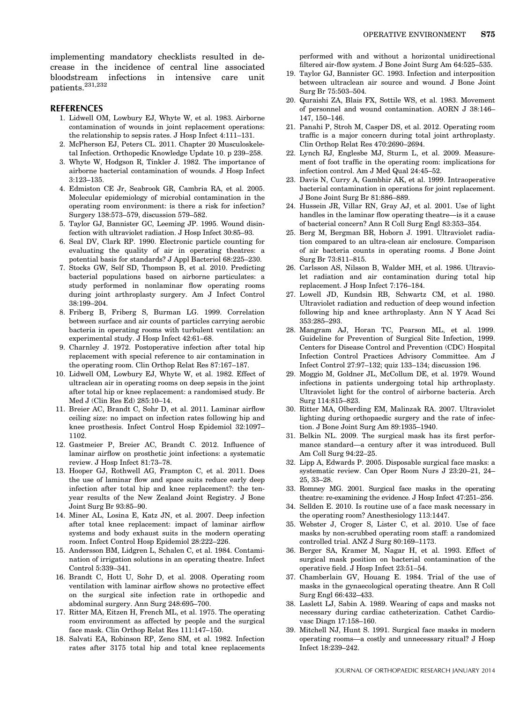implementing mandatory checklists resulted in decrease in the incidence of central line associated bloodstream infections in intensive care unit patients.  $\hspace{0.01em}^{231,232}$ 

#### REFERENCES

- 1. Lidwell OM, Lowbury EJ, Whyte W, et al. 1983. Airborne contamination of wounds in joint replacement operations: the relationship to sepsis rates. J Hosp Infect 4:111–131.
- 2. McPherson EJ, Peters CL. 2011. Chapter 20 Musculoskeletal Infection. Orthopedic Knowledge Update 10. p 239–258.
- 3. Whyte W, Hodgson R, Tinkler J. 1982. The importance of airborne bacterial contamination of wounds. J Hosp Infect 3:123–135.
- 4. Edmiston CE Jr, Seabrook GR, Cambria RA, et al. 2005. Molecular epidemiology of microbial contamination in the operating room environment: is there a risk for infection? Surgery 138:573–579, discussion 579–582.
- 5. Taylor GJ, Bannister GC, Leeming JP. 1995. Wound disinfection with ultraviolet radiation. J Hosp Infect 30:85–93.
- 6. Seal DV, Clark RP. 1990. Electronic particle counting for evaluating the quality of air in operating theatres: a potential basis for standards? J Appl Bacteriol 68:225–230.
- 7. Stocks GW, Self SD, Thompson B, et al. 2010. Predicting bacterial populations based on airborne particulates: a study performed in nonlaminar flow operating rooms during joint arthroplasty surgery. Am J Infect Control 38:199–204.
- 8. Friberg B, Friberg S, Burman LG. 1999. Correlation between surface and air counts of particles carrying aerobic bacteria in operating rooms with turbulent ventilation: an experimental study. J Hosp Infect 42:61–68.
- 9. Charnley J. 1972. Postoperative infection after total hip replacement with special reference to air contamination in the operating room. Clin Orthop Relat Res 87:167–187.
- 10. Lidwell OM, Lowbury EJ, Whyte W, et al. 1982. Effect of ultraclean air in operating rooms on deep sepsis in the joint after total hip or knee replacement: a randomised study. Br Med J (Clin Res Ed) 285:10–14.
- 11. Breier AC, Brandt C, Sohr D, et al. 2011. Laminar airflow ceiling size: no impact on infection rates following hip and knee prosthesis. Infect Control Hosp Epidemiol 32:1097– 1102.
- 12. Gastmeier P, Breier AC, Brandt C. 2012. Influence of laminar airflow on prosthetic joint infections: a systematic review. J Hosp Infect 81:73–78.
- 13. Hooper GJ, Rothwell AG, Frampton C, et al. 2011. Does the use of laminar flow and space suits reduce early deep infection after total hip and knee replacement?: the tenyear results of the New Zealand Joint Registry. J Bone Joint Surg Br 93:85–90.
- 14. Miner AL, Losina E, Katz JN, et al. 2007. Deep infection after total knee replacement: impact of laminar airflow systems and body exhaust suits in the modern operating room. Infect Control Hosp Epidemiol 28:222–226.
- 15. Andersson BM, Lidgren L, Schalen C, et al. 1984. Contamination of irrigation solutions in an operating theatre. Infect Control 5:339–341.
- 16. Brandt C, Hott U, Sohr D, et al. 2008. Operating room ventilation with laminar airflow shows no protective effect on the surgical site infection rate in orthopedic and abdominal surgery. Ann Surg 248:695–700.
- 17. Ritter MA, Eitzen H, French ML, et al. 1975. The operating room environment as affected by people and the surgical face mask. Clin Orthop Relat Res 111:147–150.
- 18. Salvati EA, Robinson RP, Zeno SM, et al. 1982. Infection rates after 3175 total hip and total knee replacements

performed with and without a horizontal unidirectional filtered air-flow system. J Bone Joint Surg Am 64:525–535.

- 19. Taylor GJ, Bannister GC. 1993. Infection and interposition between ultraclean air source and wound. J Bone Joint Surg Br 75:503–504.
- 20. Quraishi ZA, Blais FX, Sottile WS, et al. 1983. Movement of personnel and wound contamination. AORN J 38:146– 147, 150–146.
- 21. Panahi P, Stroh M, Casper DS, et al. 2012. Operating room traffic is a major concern during total joint arthroplasty. Clin Orthop Relat Res 470:2690–2694.
- 22. Lynch RJ, Englesbe MJ, Sturm L, et al. 2009. Measurement of foot traffic in the operating room: implications for infection control. Am J Med Qual 24:45–52.
- 23. Davis N, Curry A, Gambhir AK, et al. 1999. Intraoperative bacterial contamination in operations for joint replacement. J Bone Joint Surg Br 81:886–889.
- 24. Hussein JR, Villar RN, Gray AJ, et al. 2001. Use of light handles in the laminar flow operating theatre—is it a cause of bacterial concern? Ann R Coll Surg Engl 83:353–354.
- 25. Berg M, Bergman BR, Hoborn J. 1991. Ultraviolet radiation compared to an ultra-clean air enclosure. Comparison of air bacteria counts in operating rooms. J Bone Joint Surg Br 73:811–815.
- 26. Carlsson AS, Nilsson B, Walder MH, et al. 1986. Ultraviolet radiation and air contamination during total hip replacement. J Hosp Infect 7:176–184.
- 27. Lowell JD, Kundsin RB, Schwartz CM, et al. 1980. Ultraviolet radiation and reduction of deep wound infection following hip and knee arthroplasty. Ann N Y Acad Sci 353:285–293.
- 28. Mangram AJ, Horan TC, Pearson ML, et al. 1999. Guideline for Prevention of Surgical Site Infection, 1999. Centers for Disease Control and Prevention (CDC) Hospital Infection Control Practices Advisory Committee. Am J Infect Control 27:97–132; quiz 133–134; discussion 196.
- 29. Moggio M, Goldner JL, McCollum DE, et al. 1979. Wound infections in patients undergoing total hip arthroplasty. Ultraviolet light for the control of airborne bacteria. Arch Surg 114:815–823.
- 30. Ritter MA, Olberding EM, Malinzak RA. 2007. Ultraviolet lighting during orthopaedic surgery and the rate of infection. J Bone Joint Surg Am 89:1935–1940.
- 31. Belkin NL. 2009. The surgical mask has its first performance standard—a century after it was introduced. Bull Am Coll Surg 94:22–25.
- 32. Lipp A, Edwards P. 2005. Disposable surgical face masks: a systematic review. Can Oper Room Nurs J 23:20–21, 24– 25, 33–28.
- 33. Romney MG. 2001. Surgical face masks in the operating theatre: re-examining the evidence. J Hosp Infect 47:251–256.
- 34. Sellden E. 2010. Is routine use of a face mask necessary in the operating room? Anesthesiology 113:1447.
- 35. Webster J, Croger S, Lister C, et al. 2010. Use of face masks by non-scrubbed operating room staff: a randomized controlled trial. ANZ J Surg 80:169–1173.
- 36. Berger SA, Kramer M, Nagar H, et al. 1993. Effect of surgical mask position on bacterial contamination of the operative field. J Hosp Infect 23:51–54.
- 37. Chamberlain GV, Houang E. 1984. Trial of the use of masks in the gynaecological operating theatre. Ann R Coll Surg Engl 66:432–433.
- 38. Laslett LJ, Sabin A. 1989. Wearing of caps and masks not necessary during cardiac catheterization. Cathet Cardiovasc Diagn 17:158–160.
- 39. Mitchell NJ, Hunt S. 1991. Surgical face masks in modern operating rooms—a costly and unnecessary ritual? J Hosp Infect 18:239–242.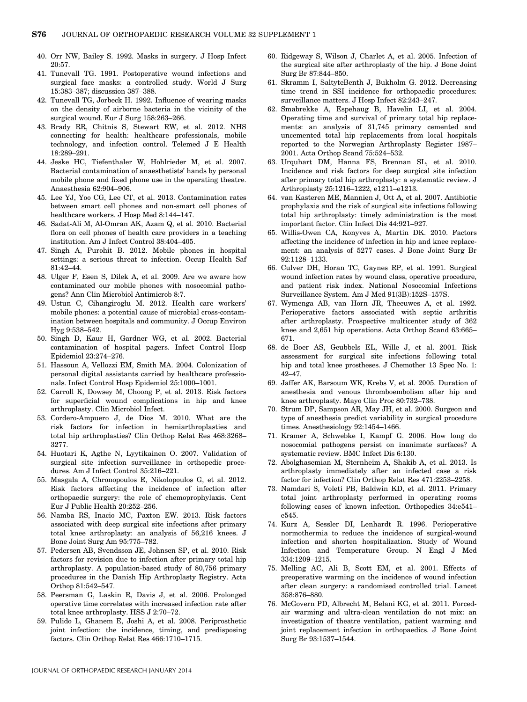- 40. Orr NW, Bailey S. 1992. Masks in surgery. J Hosp Infect 20:57.
- 41. Tunevall TG. 1991. Postoperative wound infections and surgical face masks: a controlled study. World J Surg 15:383–387; discussion 387–388.
- 42. Tunevall TG, Jorbeck H. 1992. Influence of wearing masks on the density of airborne bacteria in the vicinity of the surgical wound. Eur J Surg 158:263–266.
- 43. Brady RR, Chitnis S, Stewart RW, et al. 2012. NHS connecting for health: healthcare professionals, mobile technology, and infection control. Telemed J E Health 18:289–291.
- 44. Jeske HC, Tiefenthaler W, Hohlrieder M, et al. 2007. Bacterial contamination of anaesthetists' hands by personal mobile phone and fixed phone use in the operating theatre. Anaesthesia 62:904–906.
- 45. Lee YJ, Yoo CG, Lee CT, et al. 2013. Contamination rates between smart cell phones and non-smart cell phones of healthcare workers. J Hosp Med 8:144–147.
- 46. Sadat-Ali M, Al-Omran AK, Azam Q, et al. 2010. Bacterial flora on cell phones of health care providers in a teaching institution. Am J Infect Control 38:404–405.
- 47. Singh A, Purohit B. 2012. Mobile phones in hospital settings: a serious threat to infection. Occup Health Saf 81:42–44.
- 48. Ulger F, Esen S, Dilek A, et al. 2009. Are we aware how contaminated our mobile phones with nosocomial pathogens? Ann Clin Microbiol Antimicrob 8:7.
- 49. Ustun C, Cihangiroglu M. 2012. Health care workers' mobile phones: a potential cause of microbial cross-contamination between hospitals and community. J Occup Environ Hyg 9:538–542.
- 50. Singh D, Kaur H, Gardner WG, et al. 2002. Bacterial contamination of hospital pagers. Infect Control Hosp Epidemiol 23:274–276.
- 51. Hassoun A, Vellozzi EM, Smith MA. 2004. Colonization of personal digital assistants carried by healthcare professionals. Infect Control Hosp Epidemiol 25:1000–1001.
- 52. Carroll K, Dowsey M, Choong P, et al. 2013. Risk factors for superficial wound complications in hip and knee arthroplasty. Clin Microbiol Infect.
- 53. Cordero-Ampuero J, de Dios M. 2010. What are the risk factors for infection in hemiarthroplasties and total hip arthroplasties? Clin Orthop Relat Res 468:3268– 3277.
- 54. Huotari K, Agthe N, Lyytikainen O. 2007. Validation of surgical site infection surveillance in orthopedic procedures. Am J Infect Control 35:216–221.
- 55. Masgala A, Chronopoulos E, Nikolopoulos G, et al. 2012. Risk factors affecting the incidence of infection after orthopaedic surgery: the role of chemoprophylaxis. Cent Eur J Public Health 20:252–256.
- 56. Namba RS, Inacio MC, Paxton EW. 2013. Risk factors associated with deep surgical site infections after primary total knee arthroplasty: an analysis of 56,216 knees. J Bone Joint Surg Am 95:775–782.
- 57. Pedersen AB, Svendsson JE, Johnsen SP, et al. 2010. Risk factors for revision due to infection after primary total hip arthroplasty. A population-based study of 80,756 primary procedures in the Danish Hip Arthroplasty Registry. Acta Orthop 81:542–547.
- 58. Peersman G, Laskin R, Davis J, et al. 2006. Prolonged operative time correlates with increased infection rate after total knee arthroplasty. HSS J 2:70–72.
- 59. Pulido L, Ghanem E, Joshi A, et al. 2008. Periprosthetic joint infection: the incidence, timing, and predisposing factors. Clin Orthop Relat Res 466:1710–1715.
- 60. Ridgeway S, Wilson J, Charlet A, et al. 2005. Infection of the surgical site after arthroplasty of the hip. J Bone Joint Surg Br 87:844–850.
- 61. Skramm I, SaltyteBenth J, Bukholm G. 2012. Decreasing time trend in SSI incidence for orthopaedic procedures: surveillance matters. J Hosp Infect 82:243–247.
- 62. Smabrekke A, Espehaug B, Havelin LI, et al. 2004. Operating time and survival of primary total hip replacements: an analysis of 31,745 primary cemented and uncemented total hip replacements from local hospitals reported to the Norwegian Arthroplasty Register 1987– 2001. Acta Orthop Scand 75:524–532.
- 63. Urquhart DM, Hanna FS, Brennan SL, et al. 2010. Incidence and risk factors for deep surgical site infection after primary total hip arthroplasty: a systematic review. J Arthroplasty 25:1216–1222, e1211–e1213.
- 64. van Kasteren ME, Mannien J, Ott A, et al. 2007. Antibiotic prophylaxis and the risk of surgical site infections following total hip arthroplasty: timely administration is the most important factor. Clin Infect Dis 44:921–927.
- 65. Willis-Owen CA, Konyves A, Martin DK. 2010. Factors affecting the incidence of infection in hip and knee replacement: an analysis of 5277 cases. J Bone Joint Surg Br 92:1128–1133.
- 66. Culver DH, Horan TC, Gaynes RP, et al. 1991. Surgical wound infection rates by wound class, operative procedure, and patient risk index. National Nosocomial Infections Surveillance System. Am J Med 91(3B):152S–157S.
- 67. Wymenga AB, van Horn JR, Theeuwes A, et al. 1992. Perioperative factors associated with septic arthritis after arthroplasty. Prospective multicenter study of 362 knee and 2,651 hip operations. Acta Orthop Scand 63:665– 671.
- 68. de Boer AS, Geubbels EL, Wille J, et al. 2001. Risk assessment for surgical site infections following total hip and total knee prostheses. J Chemother 13 Spec No. 1: 42–47.
- 69. Jaffer AK, Barsoum WK, Krebs V, et al. 2005. Duration of anesthesia and venous thromboembolism after hip and knee arthroplasty. Mayo Clin Proc 80:732–738.
- 70. Strum DP, Sampson AR, May JH, et al. 2000. Surgeon and type of anesthesia predict variability in surgical procedure times. Anesthesiology 92:1454–1466.
- 71. Kramer A, Schwebke I, Kampf G. 2006. How long do nosocomial pathogens persist on inanimate surfaces? A systematic review. BMC Infect Dis 6:130.
- 72. Abolghasemian M, Sternheim A, Shakib A, et al. 2013. Is arthroplasty immediately after an infected case a risk factor for infection? Clin Orthop Relat Res 471:2253–2258.
- 73. Namdari S, Voleti PB, Baldwin KD, et al. 2011. Primary total joint arthroplasty performed in operating rooms following cases of known infection. Orthopedics 34:e541– e545.
- 74. Kurz A, Sessler DI, Lenhardt R. 1996. Perioperative normothermia to reduce the incidence of surgical-wound infection and shorten hospitalization. Study of Wound Infection and Temperature Group. N Engl J Med 334:1209–1215.
- 75. Melling AC, Ali B, Scott EM, et al. 2001. Effects of preoperative warming on the incidence of wound infection after clean surgery: a randomised controlled trial. Lancet 358:876–880.
- 76. McGovern PD, Albrecht M, Belani KG, et al. 2011. Forcedair warming and ultra-clean ventilation do not mix: an investigation of theatre ventilation, patient warming and joint replacement infection in orthopaedics. J Bone Joint Surg Br 93:1537–1544.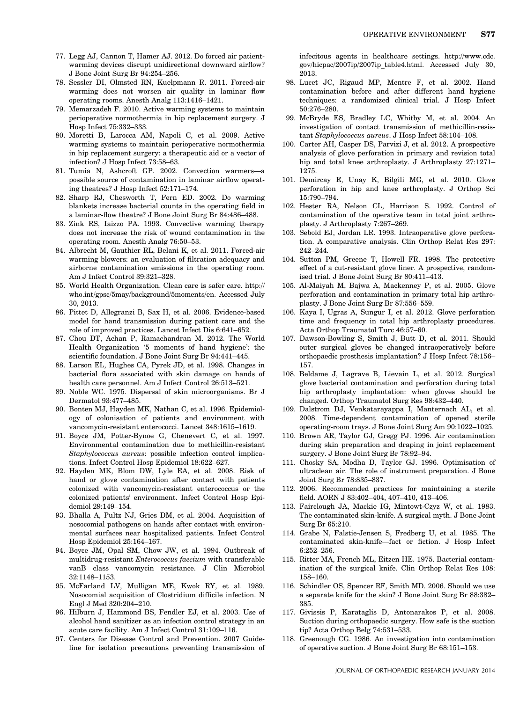- 77. Legg AJ, Cannon T, Hamer AJ. 2012. Do forced air patientwarming devices disrupt unidirectional downward airflow? J Bone Joint Surg Br 94:254–256.
- 78. Sessler DI, Olmsted RN, Kuelpmann R. 2011. Forced-air warming does not worsen air quality in laminar flow operating rooms. Anesth Analg 113:1416–1421.
- 79. Memarzadeh F. 2010. Active warming systems to maintain perioperative normothermia in hip replacement surgery. J Hosp Infect 75:332–333.
- 80. Moretti B, Larocca AM, Napoli C, et al. 2009. Active warming systems to maintain perioperative normothermia in hip replacement surgery: a therapeutic aid or a vector of infection? J Hosp Infect 73:58–63.
- 81. Tumia N, Ashcroft GP. 2002. Convection warmers—a possible source of contamination in laminar airflow operating theatres? J Hosp Infect 52:171–174.
- 82. Sharp RJ, Chesworth T, Fern ED. 2002. Do warming blankets increase bacterial counts in the operating field in a laminar-flow theatre? J Bone Joint Surg Br 84:486–488.
- 83. Zink RS, Iaizzo PA. 1993. Convective warming therapy does not increase the risk of wound contamination in the operating room. Anesth Analg 76:50–53.
- 84. Albrecht M, Gauthier RL, Belani K, et al. 2011. Forced-air warming blowers: an evaluation of filtration adequacy and airborne contamination emissions in the operating room. Am J Infect Control 39:321–328.
- 85. World Health Organization. Clean care is safer care. [http://](http://who.int/gpsc/5may/background/5moments/en) [who.int/gpsc/5may/background/5moments/en](http://who.int/gpsc/5may/background/5moments/en). Accessed July 30, 2013.
- 86. Pittet D, Allegranzi B, Sax H, et al. 2006. Evidence-based model for hand transmission during patient care and the role of improved practices. Lancet Infect Dis 6:641–652.
- 87. Chou DT, Achan P, Ramachandran M. 2012. The World Health Organization '5 moments of hand hygiene': the scientific foundation. J Bone Joint Surg Br 94:441–445.
- 88. Larson EL, Hughes CA, Pyrek JD, et al. 1998. Changes in bacterial flora associated with skin damage on hands of health care personnel. Am J Infect Control 26:513–521.
- 89. Noble WC. 1975. Dispersal of skin microorganisms. Br J Dermatol 93:477–485.
- 90. Bonten MJ, Hayden MK, Nathan C, et al. 1996. Epidemiology of colonisation of patients and environment with vancomycin-resistant enterococci. Lancet 348:1615–1619.
- 91. Boyce JM, Potter-Bynoe G, Chenevert C, et al. 1997. Environmental contamination due to methicillin-resistant Staphylococcus aureus: possible infection control implications. Infect Control Hosp Epidemiol 18:622–627.
- 92. Hayden MK, Blom DW, Lyle EA, et al. 2008. Risk of hand or glove contamination after contact with patients colonized with vancomycin-resistant enterococcus or the colonized patients' environment. Infect Control Hosp Epidemiol 29:149–154.
- 93. Bhalla A, Pultz NJ, Gries DM, et al. 2004. Acquisition of nosocomial pathogens on hands after contact with environmental surfaces near hospitalized patients. Infect Control Hosp Epidemiol 25:164–167.
- 94. Boyce JM, Opal SM, Chow JW, et al. 1994. Outbreak of multidrug-resistant Enterococcus faecium with transferable vanB class vancomycin resistance. J Clin Microbiol 32:1148–1153.
- 95. McFarland LV, Mulligan ME, Kwok RY, et al. 1989. Nosocomial acquisition of Clostridium difficile infection. N Engl J Med 320:204–210.
- 96. Hilburn J, Hammond BS, Fendler EJ, et al. 2003. Use of alcohol hand sanitizer as an infection control strategy in an acute care facility. Am J Infect Control 31:109–116.
- 97. Centers for Disease Control and Prevention. 2007 Guideline for isolation precautions preventing transmission of

infecitous agents in healthcare settings. [http://www.cdc.](http://www.cdc.gov/hicpac/2007ip/2007ip_table4.html) [gov/hicpac/2007ip/2007ip\\_table4.html.](http://www.cdc.gov/hicpac/2007ip/2007ip_table4.html) Accessed July 30, 2013.

- 98. Lucet JC, Rigaud MP, Mentre F, et al. 2002. Hand contamination before and after different hand hygiene techniques: a randomized clinical trial. J Hosp Infect 50:276–280.
- 99. McBryde ES, Bradley LC, Whitby M, et al. 2004. An investigation of contact transmission of methicillin-resistant Staphylococcus aureus. J Hosp Infect 58:104–108.
- 100. Carter AH, Casper DS, Parvizi J, et al. 2012. A prospective analysis of glove perforation in primary and revision total hip and total knee arthroplasty. J Arthroplasty 27:1271– 1275.
- 101. Demircay E, Unay K, Bilgili MG, et al. 2010. Glove perforation in hip and knee arthroplasty. J Orthop Sci 15:790–794.
- 102. Hester RA, Nelson CL, Harrison S. 1992. Control of contamination of the operative team in total joint arthroplasty. J Arthroplasty 7:267–269.
- 103. Sebold EJ, Jordan LR. 1993. Intraoperative glove perforation. A comparative analysis. Clin Orthop Relat Res 297: 242–244.
- 104. Sutton PM, Greene T, Howell FR. 1998. The protective effect of a cut-resistant glove liner. A prospective, randomised trial. J Bone Joint Surg Br 80:411–413.
- 105. Al-Maiyah M, Bajwa A, Mackenney P, et al. 2005. Glove perforation and contamination in primary total hip arthroplasty. J Bone Joint Surg Br 87:556–559.
- 106. Kaya I, Ugras A, Sungur I, et al. 2012. Glove perforation time and frequency in total hip arthroplasty procedures. Acta Orthop Traumatol Turc 46:57–60.
- 107. Dawson-Bowling S, Smith J, Butt D, et al. 2011. Should outer surgical gloves be changed intraoperatively before orthopaedic prosthesis implantation? J Hosp Infect 78:156– 157.
- 108. Beldame J, Lagrave B, Lievain L, et al. 2012. Surgical glove bacterial contamination and perforation during total hip arthroplasty implantation: when gloves should be changed. Orthop Traumatol Surg Res 98:432–440.
- 109. Dalstrom DJ, Venkatarayappa I, Manternach AL, et al. 2008. Time-dependent contamination of opened sterile operating-room trays. J Bone Joint Surg Am 90:1022–1025.
- 110. Brown AR, Taylor GJ, Gregg PJ. 1996. Air contamination during skin preparation and draping in joint replacement surgery. J Bone Joint Surg Br 78:92–94.
- 111. Chosky SA, Modha D, Taylor GJ. 1996. Optimisation of ultraclean air. The role of instrument preparation. J Bone Joint Surg Br 78:835–837.
- 112. 2006. Recommended practices for maintaining a sterile field. AORN J 83:402–404, 407–410, 413–406.
- 113. Fairclough JA, Mackie IG, Mintowt-Czyz W, et al. 1983. The contaminated skin-knife. A surgical myth. J Bone Joint Surg Br 65:210.
- 114. Grabe N, Falstie-Jensen S, Fredberg U, et al. 1985. The contaminated skin-knife—fact or fiction. J Hosp Infect 6:252–256.
- 115. Ritter MA, French ML, Eitzen HE. 1975. Bacterial contamination of the surgical knife. Clin Orthop Relat Res 108: 158–160.
- 116. Schindler OS, Spencer RF, Smith MD. 2006. Should we use a separate knife for the skin? J Bone Joint Surg Br 88:382– 385.
- 117. Givissis P, Karataglis D, Antonarakos P, et al. 2008. Suction during orthopaedic surgery. How safe is the suction tip? Acta Orthop Belg 74:531–533.
- 118. Greenough CG. 1986. An investigation into contamination of operative suction. J Bone Joint Surg Br 68:151–153.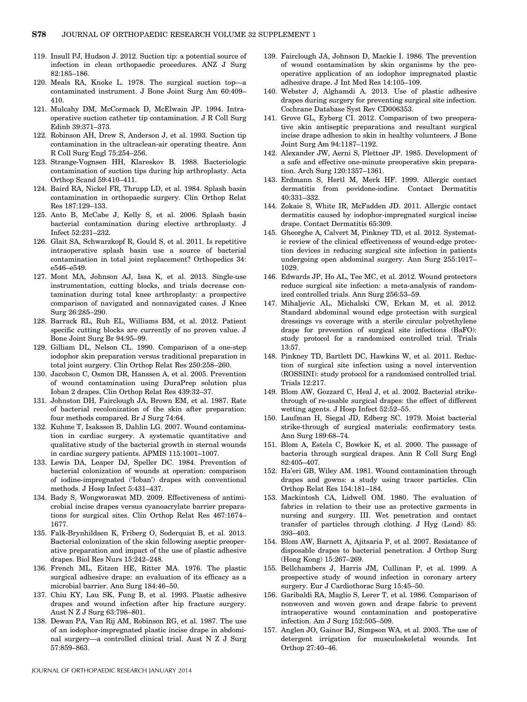- 119. Insull PJ, Hudson J. 2012. Suction tip: a potential source of infection in clean orthopaedic procedures. ANZ J Surg 82:185–186.
- 120. Meals RA, Knoke L. 1978. The surgical suction top—a contaminated instrument. J Bone Joint Surg Am 60:409– 410.
- 121. Mulcahy DM, McCormack D, McElwain JP. 1994. Intraoperative suction catheter tip contamination. J R Coll Surg Edinb 39:371–373.
- 122. Robinson AH, Drew S, Anderson J, et al. 1993. Suction tip contamination in the ultraclean-air operating theatre. Ann R Coll Surg Engl 75:254–256.
- 123. Strange-Vognsen HH, Klareskov B. 1988. Bacteriologic contamination of suction tips during hip arthroplasty. Acta Orthop Scand 59:410–411.
- 124. Baird RA, Nickel FR, Thrupp LD, et al. 1984. Splash basin contamination in orthopaedic surgery. Clin Orthop Relat Res 187:129–133.
- 125. Anto B, McCabe J, Kelly S, et al. 2006. Splash basin bacterial contamination during elective arthroplasty. J Infect 52:231–232.
- 126. Glait SA, Schwarzkopf R, Gould S, et al. 2011. Is repetitive intraoperative splash basin use a source of bacterial contamination in total joint replacement? Orthopedics 34: e546–e549.
- 127. Mont MA, Johnson AJ, Issa K, et al. 2013. Single-use instrumentation, cutting blocks, and trials decrease contamination during total knee arthroplasty: a prospective comparison of navigated and nonnavigated cases. J Knee Surg 26:285–290.
- 128. Barrack RL, Ruh EL, Williams BM, et al. 2012. Patient specific cutting blocks are currently of no proven value. J Bone Joint Surg Br 94:95–99.
- 129. Gilliam DL, Nelson CL. 1990. Comparison of a one-step iodophor skin preparation versus traditional preparation in total joint surgery. Clin Orthop Relat Res 250:258–260.
- 130. Jacobson C, Osmon DR, Hanssen A, et al. 2005. Prevention of wound contamination using DuraPrep solution plus Ioban 2 drapes. Clin Orthop Relat Res 439:32–37.
- 131. Johnston DH, Fairclough JA, Brown EM, et al. 1987. Rate of bacterial recolonization of the skin after preparation: four methods compared. Br J Surg 74:64.
- 132. Kuhme T, Isaksson B, Dahlin LG. 2007. Wound contamination in cardiac surgery. A systematic quantitative and qualitative study of the bacterial growth in sternal wounds in cardiac surgery patients. APMIS 115:1001–1007.
- 133. Lewis DA, Leaper DJ, Speller DC. 1984. Prevention of bacterial colonization of wounds at operation: comparison of iodine-impregnated ('Ioban') drapes with conventional methods. J Hosp Infect 5:431–437.
- 134. Bady S, Wongworawat MD. 2009. Effectiveness of antimicrobial incise drapes versus cyanoacrylate barrier preparations for surgical sites. Clin Orthop Relat Res 467:1674– 1677.
- 135. Falk-Brynhildsen K, Friberg O, Soderquist B, et al. 2013. Bacterial colonization of the skin following aseptic preoperative preparation and impact of the use of plastic adhesive drapes. Biol Res Nurs 15:242–248.
- 136. French ML, Eitzen HE, Ritter MA. 1976. The plastic surgical adhesive drape: an evaluation of its efficacy as a microbial barrier. Ann Surg 184:46–50.
- 137. Chiu KY, Lau SK, Fung B, et al. 1993. Plastic adhesive drapes and wound infection after hip fracture surgery. Aust N Z J Surg 63:798–801.
- 138. Dewan PA, Van Rij AM, Robinson RG, et al. 1987. The use of an iodophor-impregnated plastic incise drape in abdominal surgery—a controlled clinical trial. Aust N Z J Surg 57:859–863.
- 139. Fairclough JA, Johnson D, Mackie I. 1986. The prevention of wound contamination by skin organisms by the preoperative application of an iodophor impregnated plastic adhesive drape. J Int Med Res 14:105–109.
- 140. Webster J, Alghamdi A. 2013. Use of plastic adhesive drapes during surgery for preventing surgical site infection. Cochrane Database Syst Rev CD006353.
- 141. Grove GL, Eyberg CI. 2012. Comparison of two preoperative skin antiseptic preparations and resultant surgical incise drape adhesion to skin in healthy volunteers. J Bone Joint Surg Am 94:1187–1192.
- 142. Alexander JW, Aerni S, Plettner JP. 1985. Development of a safe and effective one-minute preoperative skin preparation. Arch Surg 120:1357–1361.
- 143. Erdmann S, Hertl M, Merk HF. 1999. Allergic contact dermatitis from povidone-iodine. Contact Dermatitis 40:331–332.
- 144. Zokaie S, White IR, McFadden JD. 2011. Allergic contact dermatitis caused by iodophor-impregnated surgical incise drape. Contact Dermatitis 65:309.
- 145. Gheorghe A, Calvert M, Pinkney TD, et al. 2012. Systematic review of the clinical effectiveness of wound-edge protection devices in reducing surgical site infection in patients undergoing open abdominal surgery. Ann Surg 255:1017– 1029.
- 146. Edwards JP, Ho AL, Tee MC, et al. 2012. Wound protectors reduce surgical site infection: a meta-analysis of randomized controlled trials. Ann Surg 256:53–59.
- 147. Mihaljevic AL, Michalski CW, Erkan M, et al. 2012. Standard abdominal wound edge protection with surgical dressings vs coverage with a sterile circular polyethylene drape for prevention of surgical site infections (BaFO): study protocol for a randomized controlled trial. Trials 13:57.
- 148. Pinkney TD, Bartlett DC, Hawkins W, et al. 2011. Reduction of surgical site infection using a novel intervention (ROSSINI): study protocol for a randomised controlled trial. Trials 12:217.
- 149. Blom AW, Gozzard C, Heal J, et al. 2002. Bacterial strikethrough of re-usable surgical drapes: the effect of different wetting agents. J Hosp Infect 52:52–55.
- 150. Laufman H, Siegal JD, Edberg SC. 1979. Moist bacterial strike-through of surgical materials: confirmatory tests. Ann Surg 189:68–74.
- 151. Blom A, Estela C, Bowker K, et al. 2000. The passage of bacteria through surgical drapes. Ann R Coll Surg Engl 82:405–407.
- 152. Ha'eri GB, Wiley AM. 1981. Wound contamination through drapes and gowns: a study using tracer particles. Clin Orthop Relat Res 154:181–184.
- 153. Mackintosh CA, Lidwell OM. 1980. The evaluation of fabrics in relation to their use as protective garments in nursing and surgery. III. Wet penetration and contact transfer of particles through clothing. J Hyg (Lond) 85: 393–403.
- 154. Blom AW, Barnett A, Ajitsaria P, et al. 2007. Resistance of disposable drapes to bacterial penetration. J Orthop Surg (Hong Kong) 15:267–269.
- 155. Bellchambers J, Harris JM, Cullinan P, et al. 1999. A prospective study of wound infection in coronary artery surgery. Eur J Cardiothorac Surg 15:45–50.
- 156. Garibaldi RA, Maglio S, Lerer T, et al. 1986. Comparison of nonwoven and woven gown and drape fabric to prevent intraoperative wound contamination and postoperative infection. Am J Surg 152:505–509.
- 157. Anglen JO, Gainor BJ, Simpson WA, et al. 2003. The use of detergent irrigation for musculoskeletal wounds. Int Orthop 27:40–46.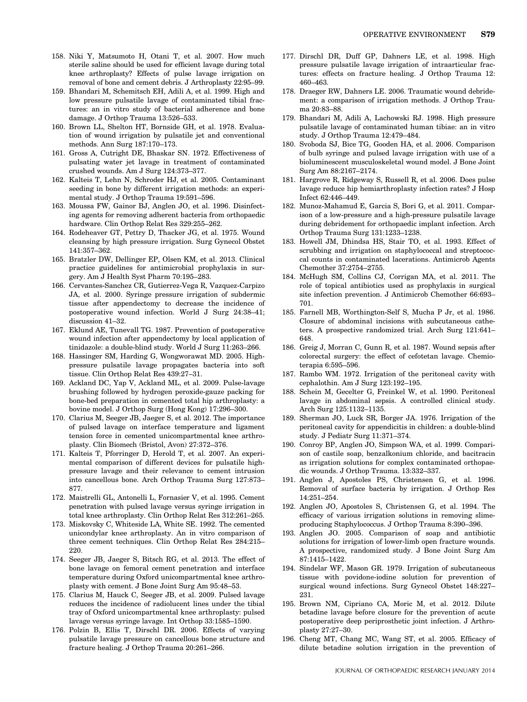- 158. Niki Y, Matsumoto H, Otani T, et al. 2007. How much sterile saline should be used for efficient lavage during total knee arthroplasty? Effects of pulse lavage irrigation on removal of bone and cement debris. J Arthroplasty 22:95–99.
- 159. Bhandari M, Schemitsch EH, Adili A, et al. 1999. High and low pressure pulsatile lavage of contaminated tibial fractures: an in vitro study of bacterial adherence and bone damage. J Orthop Trauma 13:526–533.
- 160. Brown LL, Shelton HT, Bornside GH, et al. 1978. Evaluation of wound irrigation by pulsatile jet and conventional methods. Ann Surg 187:170–173.
- 161. Gross A, Cutright DE, Bhaskar SN. 1972. Effectiveness of pulsating water jet lavage in treatment of contaminated crushed wounds. Am J Surg 124:373–377.
- 162. Kalteis T, Lehn N, Schroder HJ, et al. 2005. Contaminant seeding in bone by different irrigation methods: an experimental study. J Orthop Trauma 19:591–596.
- 163. Moussa FW, Gainor BJ, Anglen JO, et al. 1996. Disinfecting agents for removing adherent bacteria from orthopaedic hardware. Clin Orthop Relat Res 329:255–262.
- 164. Rodeheaver GT, Pettry D, Thacker JG, et al. 1975. Wound cleansing by high pressure irrigation. Surg Gynecol Obstet 141:357–362.
- 165. Bratzler DW, Dellinger EP, Olsen KM, et al. 2013. Clinical practice guidelines for antimicrobial prophylaxis in surgery. Am J Health Syst Pharm 70:195–283.
- 166. Cervantes-Sanchez CR, Gutierrez-Vega R, Vazquez-Carpizo JA, et al. 2000. Syringe pressure irrigation of subdermic tissue after appendectomy to decrease the incidence of postoperative wound infection. World J Surg 24:38–41; discussion 41–32.
- 167. Eklund AE, Tunevall TG. 1987. Prevention of postoperative wound infection after appendectomy by local application of tinidazole: a double-blind study. World J Surg 11:263–266.
- 168. Hassinger SM, Harding G, Wongworawat MD. 2005. Highpressure pulsatile lavage propagates bacteria into soft tissue. Clin Orthop Relat Res 439:27–31.
- 169. Ackland DC, Yap V, Ackland ML, et al. 2009. Pulse-lavage brushing followed by hydrogen peroxide-gauze packing for bone-bed preparation in cemented total hip arthroplasty: a bovine model. J Orthop Surg (Hong Kong) 17:296–300.
- 170. Clarius M, Seeger JB, Jaeger S, et al. 2012. The importance of pulsed lavage on interface temperature and ligament tension force in cemented unicompartmental knee arthroplasty. Clin Biomech (Bristol, Avon) 27:372–376.
- 171. Kalteis T, Pforringer D, Herold T, et al. 2007. An experimental comparison of different devices for pulsatile highpressure lavage and their relevance to cement intrusion into cancellous bone. Arch Orthop Trauma Surg 127:873– 877.
- 172. Maistrelli GL, Antonelli L, Fornasier V, et al. 1995. Cement penetration with pulsed lavage versus syringe irrigation in total knee arthroplasty. Clin Orthop Relat Res 312:261–265.
- 173. Miskovsky C, Whiteside LA, White SE. 1992. The cemented unicondylar knee arthroplasty. An in vitro comparison of three cement techniques. Clin Orthop Relat Res 284:215– 220.
- 174. Seeger JB, Jaeger S, Bitsch RG, et al. 2013. The effect of bone lavage on femoral cement penetration and interface temperature during Oxford unicompartmental knee arthroplasty with cement. J Bone Joint Surg Am 95:48–53.
- 175. Clarius M, Hauck C, Seeger JB, et al. 2009. Pulsed lavage reduces the incidence of radiolucent lines under the tibial tray of Oxford unicompartmental knee arthroplasty: pulsed lavage versus syringe lavage. Int Orthop 33:1585–1590.
- 176. Polzin B, Ellis T, Dirschl DR. 2006. Effects of varying pulsatile lavage pressure on cancellous bone structure and fracture healing. J Orthop Trauma 20:261–266.
- 177. Dirschl DR, Duff GP, Dahners LE, et al. 1998. High pressure pulsatile lavage irrigation of intraarticular fractures: effects on fracture healing. J Orthop Trauma 12: 460–463.
- 178. Draeger RW, Dahners LE. 2006. Traumatic wound debridement: a comparison of irrigation methods. J Orthop Trauma 20:83–88.
- 179. Bhandari M, Adili A, Lachowski RJ. 1998. High pressure pulsatile lavage of contaminated human tibiae: an in vitro study. J Orthop Trauma 12:479–484.
- 180. Svoboda SJ, Bice TG, Gooden HA, et al. 2006. Comparison of bulb syringe and pulsed lavage irrigation with use of a bioluminescent musculoskeletal wound model. J Bone Joint Surg Am 88:2167–2174.
- 181. Hargrove R, Ridgeway S, Russell R, et al. 2006. Does pulse lavage reduce hip hemiarthroplasty infection rates? J Hosp Infect 62:446–449.
- 182. Munoz-Mahamud E, Garcia S, Bori G, et al. 2011. Comparison of a low-pressure and a high-pressure pulsatile lavage during debridement for orthopaedic implant infection. Arch Orthop Trauma Surg 131:1233–1238.
- 183. Howell JM, Dhindsa HS, Stair TO, et al. 1993. Effect of scrubbing and irrigation on staphylococcal and streptococcal counts in contaminated lacerations. Antimicrob Agents Chemother 37:2754–2755.
- 184. McHugh SM, Collins CJ, Corrigan MA, et al. 2011. The role of topical antibiotics used as prophylaxis in surgical site infection prevention. J Antimicrob Chemother 66:693– 701.
- 185. Farnell MB, Worthington-Self S, Mucha P Jr, et al. 1986. Closure of abdominal incisions with subcutaneous catheters. A prospective randomized trial. Arch Surg 121:641– 648.
- 186. Greig J, Morran C, Gunn R, et al. 1987. Wound sepsis after colorectal surgery: the effect of cefotetan lavage. Chemioterapia 6:595–596.
- 187. Rambo WM. 1972. Irrigation of the peritoneal cavity with cephalothin. Am J Surg 123:192–195.
- 188. Schein M, Gecelter G, Freinkel W, et al. 1990. Peritoneal lavage in abdominal sepsis. A controlled clinical study. Arch Surg 125:1132–1135.
- 189. Sherman JO, Luck SR, Borger JA. 1976. Irrigation of the peritoneal cavity for appendicitis in children: a double-blind study. J Pediatr Surg 11:371–374.
- 190. Conroy BP, Anglen JO, Simpson WA, et al. 1999. Comparison of castile soap, benzalkonium chloride, and bacitracin as irrigation solutions for complex contaminated orthopaedic wounds. J Orthop Trauma. 13:332–337.
- 191. Anglen J, Apostoles PS, Christensen G, et al. 1996. Removal of surface bacteria by irrigation. J Orthop Res 14:251–254.
- 192. Anglen JO, Apostoles S, Christensen G, et al. 1994. The efficacy of various irrigation solutions in removing slimeproducing Staphylococcus. J Orthop Trauma 8:390–396.
- 193. Anglen JO. 2005. Comparison of soap and antibiotic solutions for irrigation of lower-limb open fracture wounds. A prospective, randomized study. J Bone Joint Surg Am 87:1415–1422.
- 194. Sindelar WF, Mason GR. 1979. Irrigation of subcutaneous tissue with povidone-iodine solution for prevention of surgical wound infections. Surg Gynecol Obstet 148:227– 231.
- 195. Brown NM, Cipriano CA, Moric M, et al. 2012. Dilute betadine lavage before closure for the prevention of acute postoperative deep periprosthetic joint infection. J Arthroplasty 27:27–30.
- 196. Cheng MT, Chang MC, Wang ST, et al. 2005. Efficacy of dilute betadine solution irrigation in the prevention of